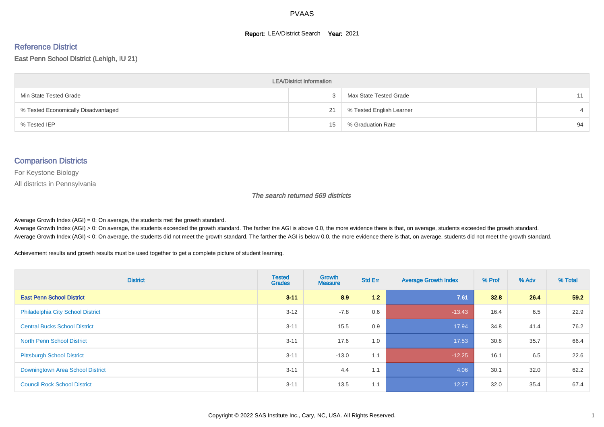#### **Report: LEA/District Search Year: 2021**

#### Reference District

East Penn School District (Lehigh, IU 21)

| <b>LEA/District Information</b>     |    |                          |    |  |  |  |  |  |  |  |
|-------------------------------------|----|--------------------------|----|--|--|--|--|--|--|--|
| Min State Tested Grade              |    | Max State Tested Grade   | 11 |  |  |  |  |  |  |  |
| % Tested Economically Disadvantaged | 21 | % Tested English Learner |    |  |  |  |  |  |  |  |
| % Tested IEP                        | 15 | % Graduation Rate        | 94 |  |  |  |  |  |  |  |

#### Comparison Districts

For Keystone Biology

All districts in Pennsylvania

The search returned 569 districts

Average Growth Index  $(AGI) = 0$ : On average, the students met the growth standard.

Average Growth Index (AGI) > 0: On average, the students exceeded the growth standard. The farther the AGI is above 0.0, the more evidence there is that, on average, students exceeded the growth standard. Average Growth Index (AGI) < 0: On average, the students did not meet the growth standard. The farther the AGI is below 0.0, the more evidence there is that, on average, students did not meet the growth standard.

Achievement results and growth results must be used together to get a complete picture of student learning.

| <b>District</b>                          | <b>Tested</b><br><b>Grades</b> | <b>Growth</b><br><b>Measure</b> | <b>Std Err</b> | <b>Average Growth Index</b> | % Prof | % Adv | % Total |
|------------------------------------------|--------------------------------|---------------------------------|----------------|-----------------------------|--------|-------|---------|
| <b>East Penn School District</b>         | $3 - 11$                       | 8.9                             | 1.2            | 7.61                        | 32.8   | 26.4  | 59.2    |
| <b>Philadelphia City School District</b> | $3 - 12$                       | $-7.8$                          | 0.6            | $-13.43$                    | 16.4   | 6.5   | 22.9    |
| <b>Central Bucks School District</b>     | $3 - 11$                       | 15.5                            | 0.9            | 17.94                       | 34.8   | 41.4  | 76.2    |
| <b>North Penn School District</b>        | $3 - 11$                       | 17.6                            | 1.0            | 17.53                       | 30.8   | 35.7  | 66.4    |
| <b>Pittsburgh School District</b>        | $3 - 11$                       | $-13.0$                         | 1.1            | $-12.25$                    | 16.1   | 6.5   | 22.6    |
| Downingtown Area School District         | $3 - 11$                       | 4.4                             | 1.1            | 4.06                        | 30.1   | 32.0  | 62.2    |
| <b>Council Rock School District</b>      | $3 - 11$                       | 13.5                            | 1.1            | 12.27                       | 32.0   | 35.4  | 67.4    |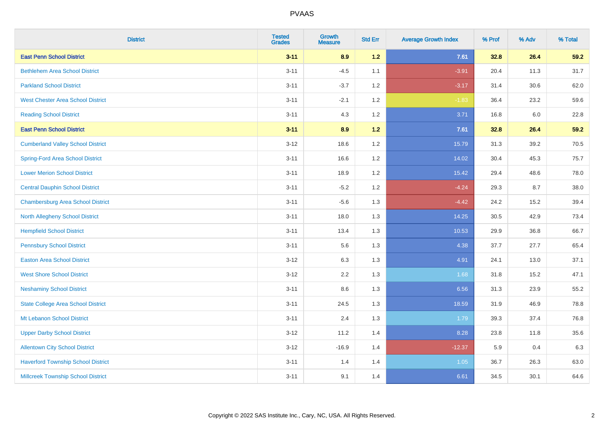| <b>District</b>                           | <b>Tested</b><br><b>Grades</b> | <b>Growth</b><br><b>Measure</b> | <b>Std Err</b> | <b>Average Growth Index</b> | % Prof | % Adv | % Total |
|-------------------------------------------|--------------------------------|---------------------------------|----------------|-----------------------------|--------|-------|---------|
| <b>East Penn School District</b>          | $3 - 11$                       | 8.9                             | $1.2$          | 7.61                        | 32.8   | 26.4  | 59.2    |
| <b>Bethlehem Area School District</b>     | $3 - 11$                       | $-4.5$                          | 1.1            | $-3.91$                     | 20.4   | 11.3  | 31.7    |
| <b>Parkland School District</b>           | $3 - 11$                       | $-3.7$                          | 1.2            | $-3.17$                     | 31.4   | 30.6  | 62.0    |
| <b>West Chester Area School District</b>  | $3 - 11$                       | $-2.1$                          | 1.2            | $-1.83$                     | 36.4   | 23.2  | 59.6    |
| <b>Reading School District</b>            | $3 - 11$                       | 4.3                             | 1.2            | 3.71                        | 16.8   | 6.0   | 22.8    |
| <b>East Penn School District</b>          | $3 - 11$                       | 8.9                             | $1.2$          | 7.61                        | 32.8   | 26.4  | 59.2    |
| <b>Cumberland Valley School District</b>  | $3 - 12$                       | 18.6                            | 1.2            | 15.79                       | 31.3   | 39.2  | 70.5    |
| <b>Spring-Ford Area School District</b>   | $3 - 11$                       | 16.6                            | 1.2            | 14.02                       | 30.4   | 45.3  | 75.7    |
| <b>Lower Merion School District</b>       | $3 - 11$                       | 18.9                            | 1.2            | 15.42                       | 29.4   | 48.6  | 78.0    |
| <b>Central Dauphin School District</b>    | $3 - 11$                       | $-5.2$                          | 1.2            | $-4.24$                     | 29.3   | 8.7   | 38.0    |
| <b>Chambersburg Area School District</b>  | $3 - 11$                       | $-5.6$                          | 1.3            | $-4.42$                     | 24.2   | 15.2  | 39.4    |
| <b>North Allegheny School District</b>    | $3 - 11$                       | 18.0                            | 1.3            | 14.25                       | 30.5   | 42.9  | 73.4    |
| <b>Hempfield School District</b>          | $3 - 11$                       | 13.4                            | 1.3            | 10.53                       | 29.9   | 36.8  | 66.7    |
| <b>Pennsbury School District</b>          | $3 - 11$                       | 5.6                             | 1.3            | 4.38                        | 37.7   | 27.7  | 65.4    |
| <b>Easton Area School District</b>        | $3 - 12$                       | 6.3                             | 1.3            | 4.91                        | 24.1   | 13.0  | 37.1    |
| <b>West Shore School District</b>         | $3 - 12$                       | 2.2                             | 1.3            | 1.68                        | 31.8   | 15.2  | 47.1    |
| <b>Neshaminy School District</b>          | $3 - 11$                       | 8.6                             | 1.3            | 6.56                        | 31.3   | 23.9  | 55.2    |
| <b>State College Area School District</b> | $3 - 11$                       | 24.5                            | 1.3            | 18.59                       | 31.9   | 46.9  | 78.8    |
| Mt Lebanon School District                | $3 - 11$                       | 2.4                             | 1.3            | 1.79                        | 39.3   | 37.4  | 76.8    |
| <b>Upper Darby School District</b>        | $3 - 12$                       | 11.2                            | 1.4            | 8.28                        | 23.8   | 11.8  | 35.6    |
| <b>Allentown City School District</b>     | $3 - 12$                       | $-16.9$                         | 1.4            | $-12.37$                    | 5.9    | 0.4   | 6.3     |
| <b>Haverford Township School District</b> | $3 - 11$                       | 1.4                             | 1.4            | 1.05                        | 36.7   | 26.3  | 63.0    |
| <b>Millcreek Township School District</b> | $3 - 11$                       | 9.1                             | 1.4            | 6.61                        | 34.5   | 30.1  | 64.6    |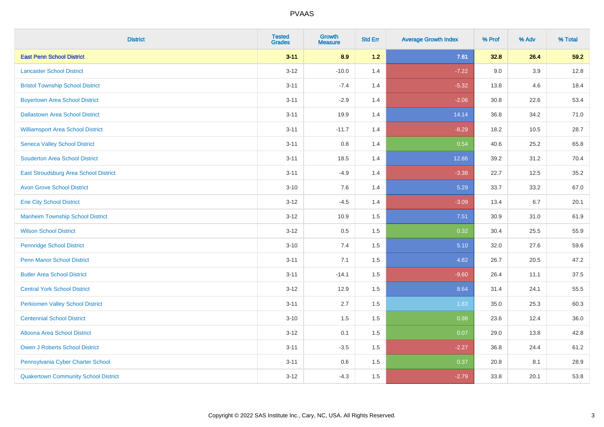| <b>District</b>                              | <b>Tested</b><br><b>Grades</b> | <b>Growth</b><br><b>Measure</b> | <b>Std Err</b> | <b>Average Growth Index</b> | % Prof | % Adv | % Total |
|----------------------------------------------|--------------------------------|---------------------------------|----------------|-----------------------------|--------|-------|---------|
| <b>East Penn School District</b>             | $3 - 11$                       | 8.9                             | 1.2            | 7.61                        | 32.8   | 26.4  | 59.2    |
| <b>Lancaster School District</b>             | $3 - 12$                       | $-10.0$                         | 1.4            | $-7.22$                     | 9.0    | 3.9   | 12.8    |
| <b>Bristol Township School District</b>      | $3 - 11$                       | $-7.4$                          | 1.4            | $-5.32$                     | 13.8   | 4.6   | 18.4    |
| <b>Boyertown Area School District</b>        | $3 - 11$                       | $-2.9$                          | 1.4            | $-2.06$                     | 30.8   | 22.6  | 53.4    |
| <b>Dallastown Area School District</b>       | $3 - 11$                       | 19.9                            | 1.4            | 14.14                       | 36.8   | 34.2  | 71.0    |
| <b>Williamsport Area School District</b>     | $3 - 11$                       | $-11.7$                         | 1.4            | $-8.29$                     | 18.2   | 10.5  | 28.7    |
| <b>Seneca Valley School District</b>         | $3 - 11$                       | $0.8\,$                         | 1.4            | 0.54                        | 40.6   | 25.2  | 65.8    |
| <b>Souderton Area School District</b>        | $3 - 11$                       | 18.5                            | 1.4            | 12.86                       | 39.2   | 31.2  | 70.4    |
| <b>East Stroudsburg Area School District</b> | $3 - 11$                       | $-4.9$                          | 1.4            | $-3.38$                     | 22.7   | 12.5  | 35.2    |
| <b>Avon Grove School District</b>            | $3 - 10$                       | $7.6\,$                         | 1.4            | 5.29                        | 33.7   | 33.2  | 67.0    |
| <b>Erie City School District</b>             | $3 - 12$                       | $-4.5$                          | 1.4            | $-3.09$                     | 13.4   | 6.7   | 20.1    |
| <b>Manheim Township School District</b>      | $3 - 12$                       | 10.9                            | 1.5            | 7.51                        | 30.9   | 31.0  | 61.9    |
| <b>Wilson School District</b>                | $3 - 12$                       | $0.5\,$                         | 1.5            | 0.32                        | 30.4   | 25.5  | 55.9    |
| <b>Pennridge School District</b>             | $3 - 10$                       | 7.4                             | 1.5            | 5.10                        | 32.0   | 27.6  | 59.6    |
| <b>Penn Manor School District</b>            | $3 - 11$                       | 7.1                             | 1.5            | 4.82                        | 26.7   | 20.5  | 47.2    |
| <b>Butler Area School District</b>           | $3 - 11$                       | $-14.1$                         | 1.5            | $-9.60$                     | 26.4   | 11.1  | 37.5    |
| <b>Central York School District</b>          | $3 - 12$                       | 12.9                            | 1.5            | 8.64                        | 31.4   | 24.1  | 55.5    |
| <b>Perkiomen Valley School District</b>      | $3 - 11$                       | 2.7                             | 1.5            | 1.83                        | 35.0   | 25.3  | 60.3    |
| <b>Centennial School District</b>            | $3 - 10$                       | 1.5                             | 1.5            | 0.98                        | 23.6   | 12.4  | 36.0    |
| <b>Altoona Area School District</b>          | $3 - 12$                       | 0.1                             | 1.5            | 0.07                        | 29.0   | 13.8  | 42.8    |
| <b>Owen J Roberts School District</b>        | $3 - 11$                       | $-3.5$                          | 1.5            | $-2.27$                     | 36.8   | 24.4  | 61.2    |
| Pennsylvania Cyber Charter School            | $3 - 11$                       | 0.6                             | 1.5            | 0.37                        | 20.8   | 8.1   | 28.9    |
| <b>Quakertown Community School District</b>  | $3 - 12$                       | $-4.3$                          | 1.5            | $-2.79$                     | 33.8   | 20.1  | 53.8    |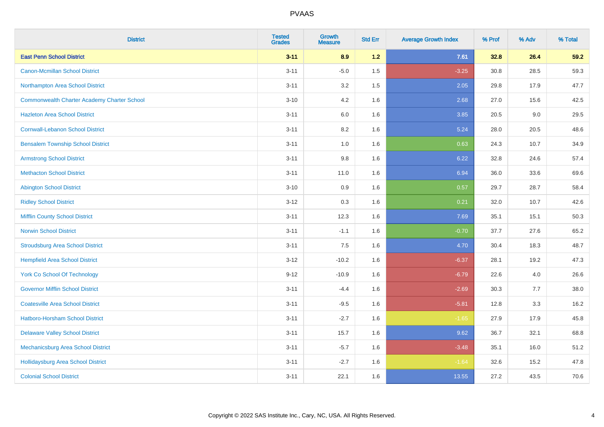| <b>District</b>                                    | <b>Tested</b><br><b>Grades</b> | <b>Growth</b><br><b>Measure</b> | <b>Std Err</b> | <b>Average Growth Index</b> | % Prof | % Adv | % Total |
|----------------------------------------------------|--------------------------------|---------------------------------|----------------|-----------------------------|--------|-------|---------|
| <b>East Penn School District</b>                   | $3 - 11$                       | 8.9                             | $1.2$          | 7.61                        | 32.8   | 26.4  | 59.2    |
| <b>Canon-Mcmillan School District</b>              | $3 - 11$                       | $-5.0$                          | 1.5            | $-3.25$                     | 30.8   | 28.5  | 59.3    |
| Northampton Area School District                   | $3 - 11$                       | 3.2                             | 1.5            | 2.05                        | 29.8   | 17.9  | 47.7    |
| <b>Commonwealth Charter Academy Charter School</b> | $3 - 10$                       | 4.2                             | 1.6            | 2.68                        | 27.0   | 15.6  | 42.5    |
| <b>Hazleton Area School District</b>               | $3 - 11$                       | 6.0                             | 1.6            | 3.85                        | 20.5   | 9.0   | 29.5    |
| <b>Cornwall-Lebanon School District</b>            | $3 - 11$                       | 8.2                             | 1.6            | 5.24                        | 28.0   | 20.5  | 48.6    |
| <b>Bensalem Township School District</b>           | $3 - 11$                       | 1.0                             | 1.6            | 0.63                        | 24.3   | 10.7  | 34.9    |
| <b>Armstrong School District</b>                   | $3 - 11$                       | $9.8\,$                         | 1.6            | 6.22                        | 32.8   | 24.6  | 57.4    |
| <b>Methacton School District</b>                   | $3 - 11$                       | 11.0                            | 1.6            | 6.94                        | 36.0   | 33.6  | 69.6    |
| <b>Abington School District</b>                    | $3 - 10$                       | 0.9                             | 1.6            | 0.57                        | 29.7   | 28.7  | 58.4    |
| <b>Ridley School District</b>                      | $3 - 12$                       | 0.3                             | 1.6            | 0.21                        | 32.0   | 10.7  | 42.6    |
| <b>Mifflin County School District</b>              | $3 - 11$                       | 12.3                            | 1.6            | 7.69                        | 35.1   | 15.1  | 50.3    |
| <b>Norwin School District</b>                      | $3 - 11$                       | $-1.1$                          | 1.6            | $-0.70$                     | 37.7   | 27.6  | 65.2    |
| <b>Stroudsburg Area School District</b>            | $3 - 11$                       | 7.5                             | 1.6            | 4.70                        | 30.4   | 18.3  | 48.7    |
| <b>Hempfield Area School District</b>              | $3 - 12$                       | $-10.2$                         | 1.6            | $-6.37$                     | 28.1   | 19.2  | 47.3    |
| <b>York Co School Of Technology</b>                | $9 - 12$                       | $-10.9$                         | 1.6            | $-6.79$                     | 22.6   | 4.0   | 26.6    |
| <b>Governor Mifflin School District</b>            | $3 - 11$                       | $-4.4$                          | 1.6            | $-2.69$                     | 30.3   | 7.7   | 38.0    |
| <b>Coatesville Area School District</b>            | $3 - 11$                       | $-9.5$                          | 1.6            | $-5.81$                     | 12.8   | 3.3   | 16.2    |
| <b>Hatboro-Horsham School District</b>             | $3 - 11$                       | $-2.7$                          | 1.6            | $-1.65$                     | 27.9   | 17.9  | 45.8    |
| <b>Delaware Valley School District</b>             | $3 - 11$                       | 15.7                            | 1.6            | 9.62                        | 36.7   | 32.1  | 68.8    |
| Mechanicsburg Area School District                 | $3 - 11$                       | $-5.7$                          | 1.6            | $-3.48$                     | 35.1   | 16.0  | 51.2    |
| <b>Hollidaysburg Area School District</b>          | $3 - 11$                       | $-2.7$                          | 1.6            | $-1.64$                     | 32.6   | 15.2  | 47.8    |
| <b>Colonial School District</b>                    | $3 - 11$                       | 22.1                            | 1.6            | 13.55                       | 27.2   | 43.5  | 70.6    |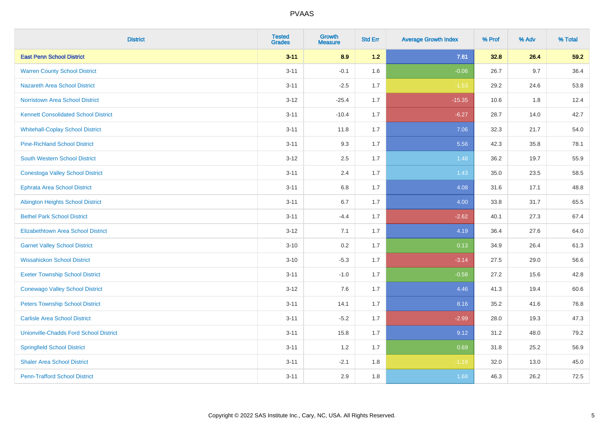| <b>District</b>                               | <b>Tested</b><br><b>Grades</b> | <b>Growth</b><br><b>Measure</b> | <b>Std Err</b> | <b>Average Growth Index</b> | % Prof | % Adv | % Total |
|-----------------------------------------------|--------------------------------|---------------------------------|----------------|-----------------------------|--------|-------|---------|
| <b>East Penn School District</b>              | $3 - 11$                       | 8.9                             | 1.2            | 7.61                        | 32.8   | 26.4  | 59.2    |
| <b>Warren County School District</b>          | $3 - 11$                       | $-0.1$                          | 1.6            | $-0.06$                     | 26.7   | 9.7   | 36.4    |
| <b>Nazareth Area School District</b>          | $3 - 11$                       | $-2.5$                          | 1.7            | $-1.53$                     | 29.2   | 24.6  | 53.8    |
| <b>Norristown Area School District</b>        | $3 - 12$                       | $-25.4$                         | 1.7            | $-15.35$                    | 10.6   | 1.8   | 12.4    |
| <b>Kennett Consolidated School District</b>   | $3 - 11$                       | $-10.4$                         | 1.7            | $-6.27$                     | 28.7   | 14.0  | 42.7    |
| <b>Whitehall-Coplay School District</b>       | $3 - 11$                       | 11.8                            | 1.7            | 7.06                        | 32.3   | 21.7  | 54.0    |
| <b>Pine-Richland School District</b>          | $3 - 11$                       | 9.3                             | 1.7            | 5.56                        | 42.3   | 35.8  | 78.1    |
| <b>South Western School District</b>          | $3 - 12$                       | 2.5                             | 1.7            | 1.48                        | 36.2   | 19.7  | 55.9    |
| <b>Conestoga Valley School District</b>       | $3 - 11$                       | 2.4                             | 1.7            | 1.43                        | 35.0   | 23.5  | 58.5    |
| <b>Ephrata Area School District</b>           | $3 - 11$                       | 6.8                             | 1.7            | 4.08                        | 31.6   | 17.1  | 48.8    |
| <b>Abington Heights School District</b>       | $3 - 11$                       | 6.7                             | 1.7            | 4.00                        | 33.8   | 31.7  | 65.5    |
| <b>Bethel Park School District</b>            | $3 - 11$                       | $-4.4$                          | 1.7            | $-2.62$                     | 40.1   | 27.3  | 67.4    |
| <b>Elizabethtown Area School District</b>     | $3 - 12$                       | 7.1                             | 1.7            | 4.19                        | 36.4   | 27.6  | 64.0    |
| <b>Garnet Valley School District</b>          | $3 - 10$                       | 0.2                             | 1.7            | 0.13                        | 34.9   | 26.4  | 61.3    |
| <b>Wissahickon School District</b>            | $3 - 10$                       | $-5.3$                          | 1.7            | $-3.14$                     | 27.5   | 29.0  | 56.6    |
| <b>Exeter Township School District</b>        | $3 - 11$                       | $-1.0$                          | 1.7            | $-0.58$                     | 27.2   | 15.6  | 42.8    |
| <b>Conewago Valley School District</b>        | $3 - 12$                       | 7.6                             | 1.7            | 4.46                        | 41.3   | 19.4  | 60.6    |
| <b>Peters Township School District</b>        | $3 - 11$                       | 14.1                            | 1.7            | 8.16                        | 35.2   | 41.6  | 76.8    |
| <b>Carlisle Area School District</b>          | $3 - 11$                       | $-5.2$                          | 1.7            | $-2.99$                     | 28.0   | 19.3  | 47.3    |
| <b>Unionville-Chadds Ford School District</b> | $3 - 11$                       | 15.8                            | 1.7            | 9.12                        | 31.2   | 48.0  | 79.2    |
| <b>Springfield School District</b>            | $3 - 11$                       | 1.2                             | 1.7            | 0.69                        | 31.8   | 25.2  | 56.9    |
| <b>Shaler Area School District</b>            | $3 - 11$                       | $-2.1$                          | 1.8            | $-1.18$                     | 32.0   | 13.0  | 45.0    |
| <b>Penn-Trafford School District</b>          | $3 - 11$                       | 2.9                             | 1.8            | 1.68                        | 46.3   | 26.2  | 72.5    |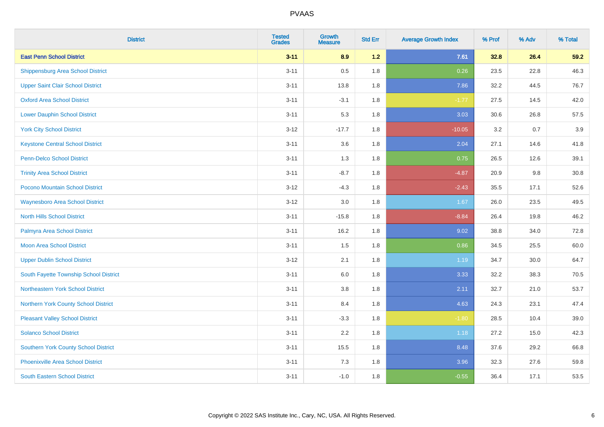| <b>District</b>                             | <b>Tested</b><br><b>Grades</b> | <b>Growth</b><br><b>Measure</b> | <b>Std Err</b> | <b>Average Growth Index</b> | % Prof | % Adv | % Total |
|---------------------------------------------|--------------------------------|---------------------------------|----------------|-----------------------------|--------|-------|---------|
| <b>East Penn School District</b>            | $3 - 11$                       | 8.9                             | $1.2$          | 7.61                        | 32.8   | 26.4  | 59.2    |
| <b>Shippensburg Area School District</b>    | $3 - 11$                       | 0.5                             | 1.8            | 0.26                        | 23.5   | 22.8  | 46.3    |
| <b>Upper Saint Clair School District</b>    | $3 - 11$                       | 13.8                            | 1.8            | 7.86                        | 32.2   | 44.5  | 76.7    |
| <b>Oxford Area School District</b>          | $3 - 11$                       | $-3.1$                          | 1.8            | $-1.77$                     | 27.5   | 14.5  | 42.0    |
| <b>Lower Dauphin School District</b>        | $3 - 11$                       | 5.3                             | 1.8            | 3.03                        | 30.6   | 26.8  | 57.5    |
| <b>York City School District</b>            | $3 - 12$                       | $-17.7$                         | 1.8            | $-10.05$                    | 3.2    | 0.7   | 3.9     |
| <b>Keystone Central School District</b>     | $3 - 11$                       | 3.6                             | 1.8            | 2.04                        | 27.1   | 14.6  | 41.8    |
| <b>Penn-Delco School District</b>           | $3 - 11$                       | 1.3                             | 1.8            | 0.75                        | 26.5   | 12.6  | 39.1    |
| <b>Trinity Area School District</b>         | $3 - 11$                       | $-8.7$                          | 1.8            | $-4.87$                     | 20.9   | 9.8   | 30.8    |
| Pocono Mountain School District             | $3 - 12$                       | $-4.3$                          | 1.8            | $-2.43$                     | 35.5   | 17.1  | 52.6    |
| <b>Waynesboro Area School District</b>      | $3 - 12$                       | 3.0                             | 1.8            | 1.67                        | 26.0   | 23.5  | 49.5    |
| <b>North Hills School District</b>          | $3 - 11$                       | $-15.8$                         | 1.8            | $-8.84$                     | 26.4   | 19.8  | 46.2    |
| Palmyra Area School District                | $3 - 11$                       | 16.2                            | 1.8            | 9.02                        | 38.8   | 34.0  | 72.8    |
| <b>Moon Area School District</b>            | $3 - 11$                       | 1.5                             | 1.8            | 0.86                        | 34.5   | 25.5  | 60.0    |
| <b>Upper Dublin School District</b>         | $3 - 12$                       | 2.1                             | 1.8            | 1.19                        | 34.7   | 30.0  | 64.7    |
| South Fayette Township School District      | $3 - 11$                       | 6.0                             | 1.8            | 3.33                        | 32.2   | 38.3  | 70.5    |
| Northeastern York School District           | $3 - 11$                       | 3.8                             | 1.8            | 2.11                        | 32.7   | 21.0  | 53.7    |
| Northern York County School District        | $3 - 11$                       | 8.4                             | 1.8            | 4.63                        | 24.3   | 23.1  | 47.4    |
| <b>Pleasant Valley School District</b>      | $3 - 11$                       | $-3.3$                          | 1.8            | $-1.80$                     | 28.5   | 10.4  | 39.0    |
| <b>Solanco School District</b>              | $3 - 11$                       | 2.2                             | 1.8            | 1.18                        | 27.2   | 15.0  | 42.3    |
| <b>Southern York County School District</b> | $3 - 11$                       | 15.5                            | 1.8            | 8.48                        | 37.6   | 29.2  | 66.8    |
| <b>Phoenixville Area School District</b>    | $3 - 11$                       | 7.3                             | 1.8            | 3.96                        | 32.3   | 27.6  | 59.8    |
| <b>South Eastern School District</b>        | $3 - 11$                       | $-1.0$                          | 1.8            | $-0.55$                     | 36.4   | 17.1  | 53.5    |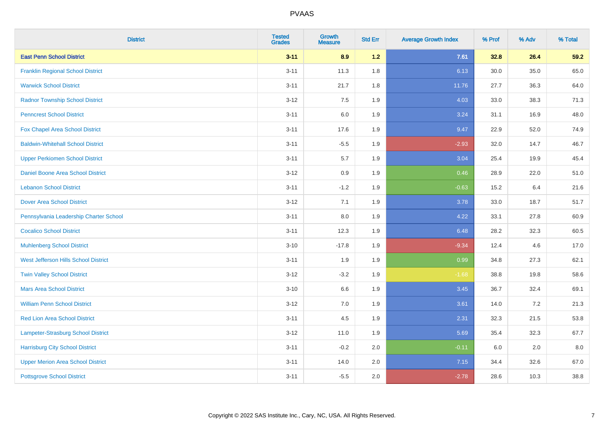| <b>District</b>                          | <b>Tested</b><br><b>Grades</b> | Growth<br><b>Measure</b> | <b>Std Err</b> | <b>Average Growth Index</b> | % Prof | % Adv | % Total |
|------------------------------------------|--------------------------------|--------------------------|----------------|-----------------------------|--------|-------|---------|
| <b>East Penn School District</b>         | $3 - 11$                       | 8.9                      | $1.2$          | 7.61                        | 32.8   | 26.4  | 59.2    |
| <b>Franklin Regional School District</b> | $3 - 11$                       | 11.3                     | 1.8            | 6.13                        | 30.0   | 35.0  | 65.0    |
| <b>Warwick School District</b>           | $3 - 11$                       | 21.7                     | 1.8            | 11.76                       | 27.7   | 36.3  | 64.0    |
| <b>Radnor Township School District</b>   | $3 - 12$                       | 7.5                      | 1.9            | 4.03                        | 33.0   | 38.3  | 71.3    |
| <b>Penncrest School District</b>         | $3 - 11$                       | 6.0                      | 1.9            | 3.24                        | 31.1   | 16.9  | 48.0    |
| Fox Chapel Area School District          | $3 - 11$                       | 17.6                     | 1.9            | 9.47                        | 22.9   | 52.0  | 74.9    |
| <b>Baldwin-Whitehall School District</b> | $3 - 11$                       | $-5.5$                   | 1.9            | $-2.93$                     | 32.0   | 14.7  | 46.7    |
| <b>Upper Perkiomen School District</b>   | $3 - 11$                       | 5.7                      | 1.9            | 3.04                        | 25.4   | 19.9  | 45.4    |
| <b>Daniel Boone Area School District</b> | $3 - 12$                       | 0.9                      | 1.9            | 0.46                        | 28.9   | 22.0  | 51.0    |
| <b>Lebanon School District</b>           | $3 - 11$                       | $-1.2$                   | 1.9            | $-0.63$                     | 15.2   | 6.4   | 21.6    |
| <b>Dover Area School District</b>        | $3 - 12$                       | 7.1                      | 1.9            | 3.78                        | 33.0   | 18.7  | 51.7    |
| Pennsylvania Leadership Charter School   | $3 - 11$                       | 8.0                      | 1.9            | 4.22                        | 33.1   | 27.8  | 60.9    |
| <b>Cocalico School District</b>          | $3 - 11$                       | 12.3                     | 1.9            | 6.48                        | 28.2   | 32.3  | 60.5    |
| <b>Muhlenberg School District</b>        | $3 - 10$                       | $-17.8$                  | 1.9            | $-9.34$                     | 12.4   | 4.6   | 17.0    |
| West Jefferson Hills School District     | $3 - 11$                       | 1.9                      | 1.9            | 0.99                        | 34.8   | 27.3  | 62.1    |
| <b>Twin Valley School District</b>       | $3 - 12$                       | $-3.2$                   | 1.9            | $-1.68$                     | 38.8   | 19.8  | 58.6    |
| <b>Mars Area School District</b>         | $3 - 10$                       | 6.6                      | 1.9            | 3.45                        | 36.7   | 32.4  | 69.1    |
| <b>William Penn School District</b>      | $3 - 12$                       | 7.0                      | 1.9            | 3.61                        | 14.0   | 7.2   | 21.3    |
| <b>Red Lion Area School District</b>     | $3 - 11$                       | 4.5                      | 1.9            | 2.31                        | 32.3   | 21.5  | 53.8    |
| Lampeter-Strasburg School District       | $3 - 12$                       | 11.0                     | 1.9            | 5.69                        | 35.4   | 32.3  | 67.7    |
| <b>Harrisburg City School District</b>   | $3 - 11$                       | $-0.2$                   | 2.0            | $-0.11$                     | 6.0    | 2.0   | 8.0     |
| <b>Upper Merion Area School District</b> | $3 - 11$                       | 14.0                     | 2.0            | 7.15                        | 34.4   | 32.6  | 67.0    |
| <b>Pottsgrove School District</b>        | $3 - 11$                       | $-5.5$                   | 2.0            | $-2.78$                     | 28.6   | 10.3  | 38.8    |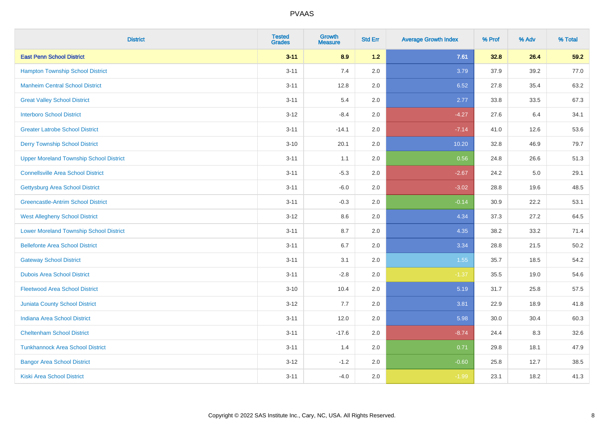| <b>District</b>                                | <b>Tested</b><br><b>Grades</b> | Growth<br><b>Measure</b> | <b>Std Err</b> | <b>Average Growth Index</b> | % Prof | % Adv | % Total |
|------------------------------------------------|--------------------------------|--------------------------|----------------|-----------------------------|--------|-------|---------|
| <b>East Penn School District</b>               | $3 - 11$                       | 8.9                      | $1.2$          | 7.61                        | 32.8   | 26.4  | 59.2    |
| <b>Hampton Township School District</b>        | $3 - 11$                       | 7.4                      | 2.0            | 3.79                        | 37.9   | 39.2  | 77.0    |
| <b>Manheim Central School District</b>         | $3 - 11$                       | 12.8                     | 2.0            | 6.52                        | 27.8   | 35.4  | 63.2    |
| <b>Great Valley School District</b>            | $3 - 11$                       | 5.4                      | 2.0            | 2.77                        | 33.8   | 33.5  | 67.3    |
| <b>Interboro School District</b>               | $3 - 12$                       | $-8.4$                   | 2.0            | $-4.27$                     | 27.6   | 6.4   | 34.1    |
| <b>Greater Latrobe School District</b>         | $3 - 11$                       | $-14.1$                  | 2.0            | $-7.14$                     | 41.0   | 12.6  | 53.6    |
| <b>Derry Township School District</b>          | $3 - 10$                       | 20.1                     | 2.0            | 10.20                       | 32.8   | 46.9  | 79.7    |
| <b>Upper Moreland Township School District</b> | $3 - 11$                       | 1.1                      | 2.0            | 0.56                        | 24.8   | 26.6  | 51.3    |
| <b>Connellsville Area School District</b>      | $3 - 11$                       | $-5.3$                   | 2.0            | $-2.67$                     | 24.2   | 5.0   | 29.1    |
| <b>Gettysburg Area School District</b>         | $3 - 11$                       | $-6.0$                   | 2.0            | $-3.02$                     | 28.8   | 19.6  | 48.5    |
| <b>Greencastle-Antrim School District</b>      | $3 - 11$                       | $-0.3$                   | 2.0            | $-0.14$                     | 30.9   | 22.2  | 53.1    |
| <b>West Allegheny School District</b>          | $3 - 12$                       | 8.6                      | 2.0            | 4.34                        | 37.3   | 27.2  | 64.5    |
| <b>Lower Moreland Township School District</b> | $3 - 11$                       | 8.7                      | 2.0            | 4.35                        | 38.2   | 33.2  | 71.4    |
| <b>Bellefonte Area School District</b>         | $3 - 11$                       | 6.7                      | 2.0            | 3.34                        | 28.8   | 21.5  | 50.2    |
| <b>Gateway School District</b>                 | $3 - 11$                       | 3.1                      | 2.0            | 1.55                        | 35.7   | 18.5  | 54.2    |
| <b>Dubois Area School District</b>             | $3 - 11$                       | $-2.8$                   | 2.0            | $-1.37$                     | 35.5   | 19.0  | 54.6    |
| <b>Fleetwood Area School District</b>          | $3 - 10$                       | 10.4                     | 2.0            | 5.19                        | 31.7   | 25.8  | 57.5    |
| <b>Juniata County School District</b>          | $3 - 12$                       | 7.7                      | 2.0            | 3.81                        | 22.9   | 18.9  | 41.8    |
| <b>Indiana Area School District</b>            | $3 - 11$                       | 12.0                     | 2.0            | 5.98                        | 30.0   | 30.4  | 60.3    |
| <b>Cheltenham School District</b>              | $3 - 11$                       | $-17.6$                  | 2.0            | $-8.74$                     | 24.4   | 8.3   | 32.6    |
| <b>Tunkhannock Area School District</b>        | $3 - 11$                       | 1.4                      | 2.0            | 0.71                        | 29.8   | 18.1  | 47.9    |
| <b>Bangor Area School District</b>             | $3 - 12$                       | $-1.2$                   | 2.0            | $-0.60$                     | 25.8   | 12.7  | 38.5    |
| Kiski Area School District                     | $3 - 11$                       | $-4.0$                   | 2.0            | $-1.99$                     | 23.1   | 18.2  | 41.3    |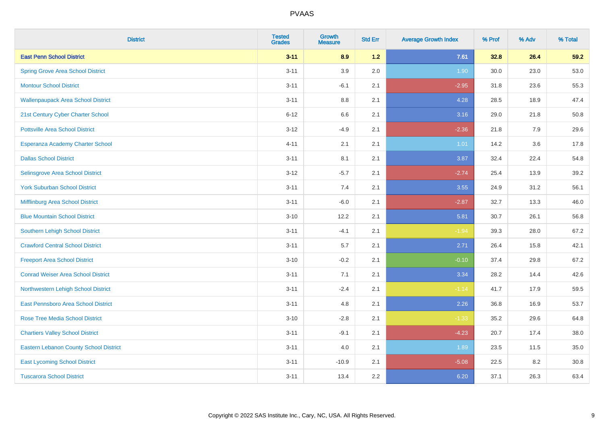| <b>District</b>                               | <b>Tested</b><br><b>Grades</b> | Growth<br><b>Measure</b> | <b>Std Err</b> | <b>Average Growth Index</b> | % Prof | % Adv | % Total |
|-----------------------------------------------|--------------------------------|--------------------------|----------------|-----------------------------|--------|-------|---------|
| <b>East Penn School District</b>              | $3 - 11$                       | 8.9                      | $1.2$          | 7.61                        | 32.8   | 26.4  | 59.2    |
| <b>Spring Grove Area School District</b>      | $3 - 11$                       | 3.9                      | 2.0            | 1.90                        | 30.0   | 23.0  | 53.0    |
| <b>Montour School District</b>                | $3 - 11$                       | $-6.1$                   | 2.1            | $-2.95$                     | 31.8   | 23.6  | 55.3    |
| <b>Wallenpaupack Area School District</b>     | $3 - 11$                       | $8.8\,$                  | 2.1            | 4.28                        | 28.5   | 18.9  | 47.4    |
| 21st Century Cyber Charter School             | $6 - 12$                       | 6.6                      | 2.1            | 3.16                        | 29.0   | 21.8  | 50.8    |
| <b>Pottsville Area School District</b>        | $3 - 12$                       | $-4.9$                   | 2.1            | $-2.36$                     | 21.8   | 7.9   | 29.6    |
| Esperanza Academy Charter School              | $4 - 11$                       | 2.1                      | 2.1            | 1.01                        | 14.2   | 3.6   | 17.8    |
| <b>Dallas School District</b>                 | $3 - 11$                       | 8.1                      | 2.1            | 3.87                        | 32.4   | 22.4  | 54.8    |
| Selinsgrove Area School District              | $3 - 12$                       | $-5.7$                   | 2.1            | $-2.74$                     | 25.4   | 13.9  | 39.2    |
| <b>York Suburban School District</b>          | $3 - 11$                       | 7.4                      | 2.1            | 3.55                        | 24.9   | 31.2  | 56.1    |
| Mifflinburg Area School District              | $3 - 11$                       | $-6.0$                   | 2.1            | $-2.87$                     | 32.7   | 13.3  | 46.0    |
| <b>Blue Mountain School District</b>          | $3 - 10$                       | 12.2                     | 2.1            | 5.81                        | 30.7   | 26.1  | 56.8    |
| Southern Lehigh School District               | $3 - 11$                       | $-4.1$                   | 2.1            | $-1.94$                     | 39.3   | 28.0  | 67.2    |
| <b>Crawford Central School District</b>       | $3 - 11$                       | 5.7                      | 2.1            | 2.71                        | 26.4   | 15.8  | 42.1    |
| <b>Freeport Area School District</b>          | $3 - 10$                       | $-0.2$                   | 2.1            | $-0.10$                     | 37.4   | 29.8  | 67.2    |
| <b>Conrad Weiser Area School District</b>     | $3 - 11$                       | 7.1                      | 2.1            | 3.34                        | 28.2   | 14.4  | 42.6    |
| Northwestern Lehigh School District           | $3 - 11$                       | $-2.4$                   | 2.1            | $-1.14$                     | 41.7   | 17.9  | 59.5    |
| East Pennsboro Area School District           | $3 - 11$                       | 4.8                      | 2.1            | 2.26                        | 36.8   | 16.9  | 53.7    |
| <b>Rose Tree Media School District</b>        | $3 - 10$                       | $-2.8$                   | 2.1            | $-1.33$                     | 35.2   | 29.6  | 64.8    |
| <b>Chartiers Valley School District</b>       | $3 - 11$                       | $-9.1$                   | 2.1            | $-4.23$                     | 20.7   | 17.4  | 38.0    |
| <b>Eastern Lebanon County School District</b> | $3 - 11$                       | 4.0                      | 2.1            | 1.89                        | 23.5   | 11.5  | 35.0    |
| <b>East Lycoming School District</b>          | $3 - 11$                       | $-10.9$                  | 2.1            | $-5.08$                     | 22.5   | 8.2   | 30.8    |
| <b>Tuscarora School District</b>              | $3 - 11$                       | 13.4                     | 2.2            | 6.20                        | 37.1   | 26.3  | 63.4    |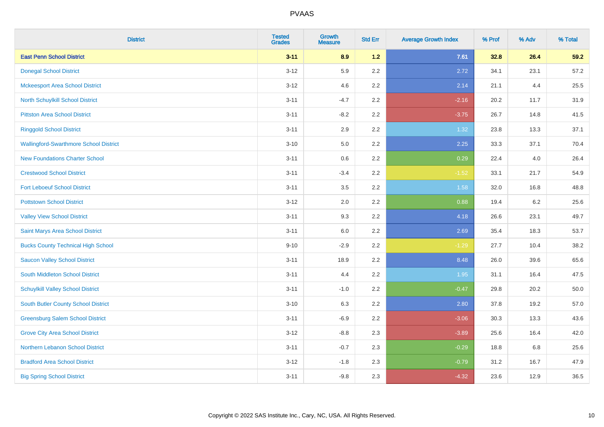| <b>District</b>                               | <b>Tested</b><br><b>Grades</b> | <b>Growth</b><br><b>Measure</b> | <b>Std Err</b> | <b>Average Growth Index</b> | % Prof | % Adv   | % Total |
|-----------------------------------------------|--------------------------------|---------------------------------|----------------|-----------------------------|--------|---------|---------|
| <b>East Penn School District</b>              | $3 - 11$                       | 8.9                             | 1.2            | 7.61                        | 32.8   | 26.4    | 59.2    |
| <b>Donegal School District</b>                | $3 - 12$                       | 5.9                             | 2.2            | 2.72                        | 34.1   | 23.1    | 57.2    |
| <b>Mckeesport Area School District</b>        | $3 - 12$                       | 4.6                             | 2.2            | 2.14                        | 21.1   | 4.4     | 25.5    |
| North Schuylkill School District              | $3 - 11$                       | $-4.7$                          | 2.2            | $-2.16$                     | 20.2   | 11.7    | 31.9    |
| <b>Pittston Area School District</b>          | $3 - 11$                       | $-8.2$                          | 2.2            | $-3.75$                     | 26.7   | 14.8    | 41.5    |
| <b>Ringgold School District</b>               | $3 - 11$                       | 2.9                             | 2.2            | 1.32                        | 23.8   | 13.3    | 37.1    |
| <b>Wallingford-Swarthmore School District</b> | $3 - 10$                       | 5.0                             | 2.2            | 2.25                        | 33.3   | 37.1    | 70.4    |
| <b>New Foundations Charter School</b>         | $3 - 11$                       | 0.6                             | 2.2            | 0.29                        | 22.4   | 4.0     | 26.4    |
| <b>Crestwood School District</b>              | $3 - 11$                       | $-3.4$                          | 2.2            | $-1.52$                     | 33.1   | 21.7    | 54.9    |
| <b>Fort Leboeuf School District</b>           | $3 - 11$                       | 3.5                             | 2.2            | 1.58                        | 32.0   | 16.8    | 48.8    |
| <b>Pottstown School District</b>              | $3 - 12$                       | 2.0                             | 2.2            | 0.88                        | 19.4   | $6.2\,$ | 25.6    |
| <b>Valley View School District</b>            | $3 - 11$                       | 9.3                             | 2.2            | 4.18                        | 26.6   | 23.1    | 49.7    |
| Saint Marys Area School District              | $3 - 11$                       | 6.0                             | 2.2            | 2.69                        | 35.4   | 18.3    | 53.7    |
| <b>Bucks County Technical High School</b>     | $9 - 10$                       | $-2.9$                          | 2.2            | $-1.29$                     | 27.7   | 10.4    | 38.2    |
| <b>Saucon Valley School District</b>          | $3 - 11$                       | 18.9                            | 2.2            | 8.48                        | 26.0   | 39.6    | 65.6    |
| South Middleton School District               | $3 - 11$                       | 4.4                             | 2.2            | 1.95                        | 31.1   | 16.4    | 47.5    |
| <b>Schuylkill Valley School District</b>      | $3 - 11$                       | $-1.0$                          | 2.2            | $-0.47$                     | 29.8   | 20.2    | 50.0    |
| South Butler County School District           | $3 - 10$                       | 6.3                             | 2.2            | 2.80                        | 37.8   | 19.2    | 57.0    |
| <b>Greensburg Salem School District</b>       | $3 - 11$                       | $-6.9$                          | 2.2            | $-3.06$                     | 30.3   | 13.3    | 43.6    |
| <b>Grove City Area School District</b>        | $3-12$                         | $-8.8$                          | 2.3            | $-3.89$                     | 25.6   | 16.4    | 42.0    |
| Northern Lebanon School District              | $3 - 11$                       | $-0.7$                          | 2.3            | $-0.29$                     | 18.8   | 6.8     | 25.6    |
| <b>Bradford Area School District</b>          | $3-12$                         | $-1.8$                          | 2.3            | $-0.79$                     | 31.2   | 16.7    | 47.9    |
| <b>Big Spring School District</b>             | $3 - 11$                       | $-9.8$                          | 2.3            | $-4.32$                     | 23.6   | 12.9    | 36.5    |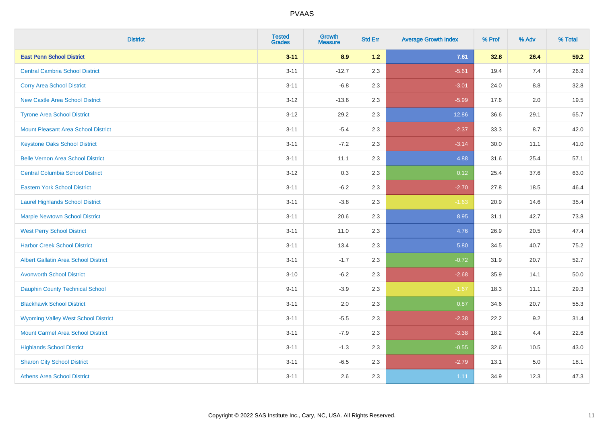| <b>District</b>                             | <b>Tested</b><br><b>Grades</b> | Growth<br><b>Measure</b> | <b>Std Err</b> | <b>Average Growth Index</b> | % Prof | % Adv   | % Total |
|---------------------------------------------|--------------------------------|--------------------------|----------------|-----------------------------|--------|---------|---------|
| <b>East Penn School District</b>            | $3 - 11$                       | 8.9                      | $1.2$          | 7.61                        | 32.8   | 26.4    | 59.2    |
| <b>Central Cambria School District</b>      | $3 - 11$                       | $-12.7$                  | 2.3            | $-5.61$                     | 19.4   | 7.4     | 26.9    |
| <b>Corry Area School District</b>           | $3 - 11$                       | $-6.8$                   | 2.3            | $-3.01$                     | 24.0   | 8.8     | 32.8    |
| <b>New Castle Area School District</b>      | $3 - 12$                       | $-13.6$                  | 2.3            | $-5.99$                     | 17.6   | 2.0     | 19.5    |
| <b>Tyrone Area School District</b>          | $3 - 12$                       | 29.2                     | 2.3            | 12.86                       | 36.6   | 29.1    | 65.7    |
| <b>Mount Pleasant Area School District</b>  | $3 - 11$                       | $-5.4$                   | 2.3            | $-2.37$                     | 33.3   | 8.7     | 42.0    |
| <b>Keystone Oaks School District</b>        | $3 - 11$                       | $-7.2$                   | 2.3            | $-3.14$                     | 30.0   | 11.1    | 41.0    |
| <b>Belle Vernon Area School District</b>    | $3 - 11$                       | 11.1                     | 2.3            | 4.88                        | 31.6   | 25.4    | 57.1    |
| <b>Central Columbia School District</b>     | $3 - 12$                       | 0.3                      | 2.3            | 0.12                        | 25.4   | 37.6    | 63.0    |
| <b>Eastern York School District</b>         | $3 - 11$                       | $-6.2$                   | 2.3            | $-2.70$                     | 27.8   | 18.5    | 46.4    |
| <b>Laurel Highlands School District</b>     | $3 - 11$                       | $-3.8$                   | 2.3            | $-1.63$                     | 20.9   | 14.6    | 35.4    |
| <b>Marple Newtown School District</b>       | $3 - 11$                       | 20.6                     | 2.3            | 8.95                        | 31.1   | 42.7    | 73.8    |
| <b>West Perry School District</b>           | $3 - 11$                       | 11.0                     | 2.3            | 4.76                        | 26.9   | 20.5    | 47.4    |
| <b>Harbor Creek School District</b>         | $3 - 11$                       | 13.4                     | 2.3            | 5.80                        | 34.5   | 40.7    | 75.2    |
| <b>Albert Gallatin Area School District</b> | $3 - 11$                       | $-1.7$                   | 2.3            | $-0.72$                     | 31.9   | 20.7    | 52.7    |
| <b>Avonworth School District</b>            | $3 - 10$                       | $-6.2$                   | 2.3            | $-2.68$                     | 35.9   | 14.1    | 50.0    |
| <b>Dauphin County Technical School</b>      | $9 - 11$                       | $-3.9$                   | 2.3            | $-1.67$                     | 18.3   | 11.1    | 29.3    |
| <b>Blackhawk School District</b>            | $3 - 11$                       | 2.0                      | 2.3            | 0.87                        | 34.6   | 20.7    | 55.3    |
| <b>Wyoming Valley West School District</b>  | $3 - 11$                       | $-5.5$                   | 2.3            | $-2.38$                     | 22.2   | 9.2     | 31.4    |
| <b>Mount Carmel Area School District</b>    | $3 - 11$                       | $-7.9$                   | 2.3            | $-3.38$                     | 18.2   | 4.4     | 22.6    |
| <b>Highlands School District</b>            | $3 - 11$                       | $-1.3$                   | 2.3            | $-0.55$                     | 32.6   | 10.5    | 43.0    |
| <b>Sharon City School District</b>          | $3 - 11$                       | $-6.5$                   | 2.3            | $-2.79$                     | 13.1   | $5.0\,$ | 18.1    |
| <b>Athens Area School District</b>          | $3 - 11$                       | 2.6                      | 2.3            | 1.11                        | 34.9   | 12.3    | 47.3    |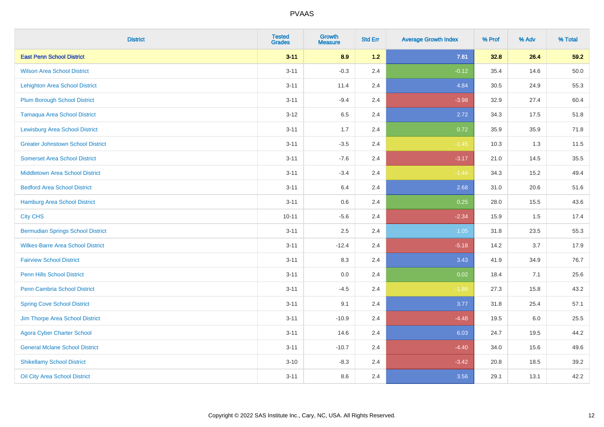| <b>District</b>                          | <b>Tested</b><br><b>Grades</b> | Growth<br><b>Measure</b> | <b>Std Err</b> | <b>Average Growth Index</b> | % Prof | % Adv | % Total |
|------------------------------------------|--------------------------------|--------------------------|----------------|-----------------------------|--------|-------|---------|
| <b>East Penn School District</b>         | $3 - 11$                       | 8.9                      | 1.2            | 7.61                        | 32.8   | 26.4  | 59.2    |
| <b>Wilson Area School District</b>       | $3 - 11$                       | $-0.3$                   | 2.4            | $-0.12$                     | 35.4   | 14.6  | 50.0    |
| <b>Lehighton Area School District</b>    | $3 - 11$                       | 11.4                     | 2.4            | 4.84                        | 30.5   | 24.9  | 55.3    |
| <b>Plum Borough School District</b>      | $3 - 11$                       | $-9.4$                   | 2.4            | $-3.98$                     | 32.9   | 27.4  | 60.4    |
| <b>Tamaqua Area School District</b>      | $3 - 12$                       | 6.5                      | 2.4            | 2.72                        | 34.3   | 17.5  | 51.8    |
| <b>Lewisburg Area School District</b>    | $3 - 11$                       | 1.7                      | 2.4            | 0.72                        | 35.9   | 35.9  | 71.8    |
| <b>Greater Johnstown School District</b> | $3 - 11$                       | $-3.5$                   | 2.4            | $-1.45$                     | 10.3   | 1.3   | 11.5    |
| <b>Somerset Area School District</b>     | $3 - 11$                       | $-7.6$                   | 2.4            | $-3.17$                     | 21.0   | 14.5  | 35.5    |
| <b>Middletown Area School District</b>   | $3 - 11$                       | $-3.4$                   | 2.4            | $-1.44$                     | 34.3   | 15.2  | 49.4    |
| <b>Bedford Area School District</b>      | $3 - 11$                       | 6.4                      | 2.4            | 2.68                        | 31.0   | 20.6  | 51.6    |
| Hamburg Area School District             | $3 - 11$                       | 0.6                      | 2.4            | 0.25                        | 28.0   | 15.5  | 43.6    |
| <b>City CHS</b>                          | $10 - 11$                      | $-5.6$                   | 2.4            | $-2.34$                     | 15.9   | 1.5   | 17.4    |
| <b>Bermudian Springs School District</b> | $3 - 11$                       | 2.5                      | 2.4            | 1.05                        | 31.8   | 23.5  | 55.3    |
| <b>Wilkes-Barre Area School District</b> | $3 - 11$                       | $-12.4$                  | 2.4            | $-5.18$                     | 14.2   | 3.7   | 17.9    |
| <b>Fairview School District</b>          | $3 - 11$                       | 8.3                      | 2.4            | 3.43                        | 41.9   | 34.9  | 76.7    |
| <b>Penn Hills School District</b>        | $3 - 11$                       | 0.0                      | 2.4            | 0.02                        | 18.4   | 7.1   | 25.6    |
| <b>Penn Cambria School District</b>      | $3 - 11$                       | $-4.5$                   | 2.4            | $-1.86$                     | 27.3   | 15.8  | 43.2    |
| <b>Spring Cove School District</b>       | $3 - 11$                       | 9.1                      | 2.4            | 3.77                        | 31.8   | 25.4  | 57.1    |
| Jim Thorpe Area School District          | $3 - 11$                       | $-10.9$                  | 2.4            | $-4.48$                     | 19.5   | 6.0   | 25.5    |
| <b>Agora Cyber Charter School</b>        | $3 - 11$                       | 14.6                     | 2.4            | 6.03                        | 24.7   | 19.5  | 44.2    |
| <b>General Mclane School District</b>    | $3 - 11$                       | $-10.7$                  | 2.4            | $-4.40$                     | 34.0   | 15.6  | 49.6    |
| <b>Shikellamy School District</b>        | $3 - 10$                       | $-8.3$                   | 2.4            | $-3.42$                     | 20.8   | 18.5  | 39.2    |
| Oil City Area School District            | $3 - 11$                       | 8.6                      | 2.4            | 3.56                        | 29.1   | 13.1  | 42.2    |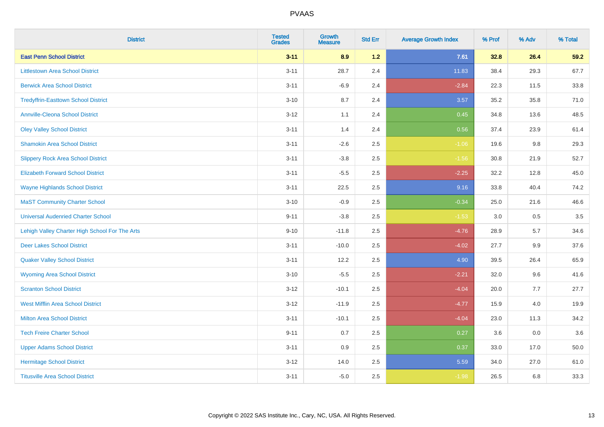| <b>District</b>                                | <b>Tested</b><br><b>Grades</b> | Growth<br><b>Measure</b> | <b>Std Err</b> | <b>Average Growth Index</b> | % Prof | % Adv | % Total |
|------------------------------------------------|--------------------------------|--------------------------|----------------|-----------------------------|--------|-------|---------|
| <b>East Penn School District</b>               | $3 - 11$                       | 8.9                      | $1.2$          | 7.61                        | 32.8   | 26.4  | 59.2    |
| <b>Littlestown Area School District</b>        | $3 - 11$                       | 28.7                     | 2.4            | 11.83                       | 38.4   | 29.3  | 67.7    |
| <b>Berwick Area School District</b>            | $3 - 11$                       | $-6.9$                   | 2.4            | $-2.84$                     | 22.3   | 11.5  | 33.8    |
| <b>Tredyffrin-Easttown School District</b>     | $3 - 10$                       | 8.7                      | 2.4            | 3.57                        | 35.2   | 35.8  | 71.0    |
| <b>Annville-Cleona School District</b>         | $3 - 12$                       | 1.1                      | 2.4            | 0.45                        | 34.8   | 13.6  | 48.5    |
| <b>Oley Valley School District</b>             | $3 - 11$                       | 1.4                      | 2.4            | 0.56                        | 37.4   | 23.9  | 61.4    |
| <b>Shamokin Area School District</b>           | $3 - 11$                       | $-2.6$                   | 2.5            | $-1.06$                     | 19.6   | 9.8   | 29.3    |
| <b>Slippery Rock Area School District</b>      | $3 - 11$                       | $-3.8$                   | 2.5            | $-1.56$                     | 30.8   | 21.9  | 52.7    |
| <b>Elizabeth Forward School District</b>       | $3 - 11$                       | $-5.5$                   | 2.5            | $-2.25$                     | 32.2   | 12.8  | 45.0    |
| <b>Wayne Highlands School District</b>         | $3 - 11$                       | 22.5                     | 2.5            | 9.16                        | 33.8   | 40.4  | 74.2    |
| <b>MaST Community Charter School</b>           | $3 - 10$                       | $-0.9$                   | 2.5            | $-0.34$                     | 25.0   | 21.6  | 46.6    |
| <b>Universal Audenried Charter School</b>      | $9 - 11$                       | $-3.8$                   | 2.5            | $-1.53$                     | 3.0    | 0.5   | 3.5     |
| Lehigh Valley Charter High School For The Arts | $9 - 10$                       | $-11.8$                  | 2.5            | $-4.76$                     | 28.9   | 5.7   | 34.6    |
| <b>Deer Lakes School District</b>              | $3 - 11$                       | $-10.0$                  | 2.5            | $-4.02$                     | 27.7   | 9.9   | 37.6    |
| <b>Quaker Valley School District</b>           | $3 - 11$                       | 12.2                     | 2.5            | 4.90                        | 39.5   | 26.4  | 65.9    |
| <b>Wyoming Area School District</b>            | $3 - 10$                       | $-5.5$                   | 2.5            | $-2.21$                     | 32.0   | 9.6   | 41.6    |
| <b>Scranton School District</b>                | $3 - 12$                       | $-10.1$                  | 2.5            | $-4.04$                     | 20.0   | 7.7   | 27.7    |
| <b>West Mifflin Area School District</b>       | $3 - 12$                       | $-11.9$                  | 2.5            | $-4.77$                     | 15.9   | 4.0   | 19.9    |
| <b>Milton Area School District</b>             | $3 - 11$                       | $-10.1$                  | 2.5            | $-4.04$                     | 23.0   | 11.3  | 34.2    |
| <b>Tech Freire Charter School</b>              | $9 - 11$                       | 0.7                      | 2.5            | 0.27                        | 3.6    | 0.0   | 3.6     |
| <b>Upper Adams School District</b>             | $3 - 11$                       | 0.9                      | 2.5            | 0.37                        | 33.0   | 17.0  | 50.0    |
| <b>Hermitage School District</b>               | $3 - 12$                       | 14.0                     | 2.5            | 5.59                        | 34.0   | 27.0  | 61.0    |
| <b>Titusville Area School District</b>         | $3 - 11$                       | $-5.0$                   | 2.5            | $-1.98$                     | 26.5   | 6.8   | 33.3    |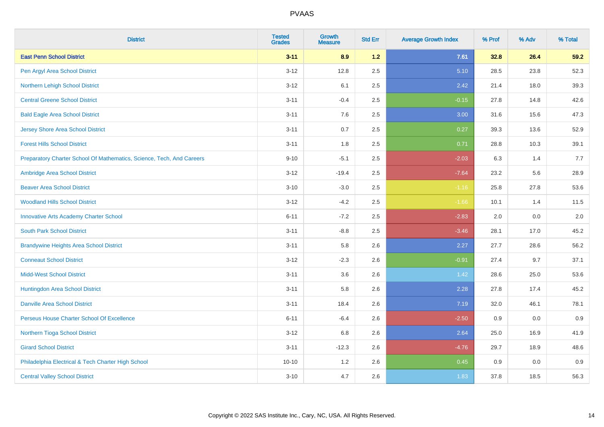| <b>District</b>                                                       | <b>Tested</b><br><b>Grades</b> | <b>Growth</b><br><b>Measure</b> | <b>Std Err</b> | <b>Average Growth Index</b> | % Prof | % Adv | % Total |
|-----------------------------------------------------------------------|--------------------------------|---------------------------------|----------------|-----------------------------|--------|-------|---------|
| <b>East Penn School District</b>                                      | $3 - 11$                       | 8.9                             | 1.2            | 7.61                        | 32.8   | 26.4  | 59.2    |
| Pen Argyl Area School District                                        | $3 - 12$                       | 12.8                            | 2.5            | 5.10                        | 28.5   | 23.8  | 52.3    |
| Northern Lehigh School District                                       | $3 - 12$                       | 6.1                             | 2.5            | 2.42                        | 21.4   | 18.0  | 39.3    |
| <b>Central Greene School District</b>                                 | $3 - 11$                       | $-0.4$                          | 2.5            | $-0.15$                     | 27.8   | 14.8  | 42.6    |
| <b>Bald Eagle Area School District</b>                                | $3 - 11$                       | 7.6                             | 2.5            | 3.00                        | 31.6   | 15.6  | 47.3    |
| <b>Jersey Shore Area School District</b>                              | $3 - 11$                       | 0.7                             | 2.5            | 0.27                        | 39.3   | 13.6  | 52.9    |
| <b>Forest Hills School District</b>                                   | $3 - 11$                       | 1.8                             | 2.5            | 0.71                        | 28.8   | 10.3  | 39.1    |
| Preparatory Charter School Of Mathematics, Science, Tech, And Careers | $9 - 10$                       | $-5.1$                          | 2.5            | $-2.03$                     | 6.3    | 1.4   | 7.7     |
| Ambridge Area School District                                         | $3 - 12$                       | $-19.4$                         | 2.5            | $-7.64$                     | 23.2   | 5.6   | 28.9    |
| <b>Beaver Area School District</b>                                    | $3 - 10$                       | $-3.0$                          | 2.5            | $-1.16$                     | 25.8   | 27.8  | 53.6    |
| <b>Woodland Hills School District</b>                                 | $3 - 12$                       | $-4.2$                          | 2.5            | $-1.66$                     | 10.1   | 1.4   | 11.5    |
| <b>Innovative Arts Academy Charter School</b>                         | $6 - 11$                       | $-7.2$                          | 2.5            | $-2.83$                     | 2.0    | 0.0   | 2.0     |
| <b>South Park School District</b>                                     | $3 - 11$                       | $-8.8$                          | 2.5            | $-3.46$                     | 28.1   | 17.0  | 45.2    |
| <b>Brandywine Heights Area School District</b>                        | $3 - 11$                       | 5.8                             | 2.6            | 2.27                        | 27.7   | 28.6  | 56.2    |
| <b>Conneaut School District</b>                                       | $3 - 12$                       | $-2.3$                          | 2.6            | $-0.91$                     | 27.4   | 9.7   | 37.1    |
| <b>Midd-West School District</b>                                      | $3 - 11$                       | 3.6                             | 2.6            | 1.42                        | 28.6   | 25.0  | 53.6    |
| Huntingdon Area School District                                       | $3 - 11$                       | 5.8                             | 2.6            | 2.28                        | 27.8   | 17.4  | 45.2    |
| <b>Danville Area School District</b>                                  | $3 - 11$                       | 18.4                            | 2.6            | 7.19                        | 32.0   | 46.1  | 78.1    |
| Perseus House Charter School Of Excellence                            | $6 - 11$                       | $-6.4$                          | 2.6            | $-2.50$                     | 0.9    | 0.0   | 0.9     |
| Northern Tioga School District                                        | $3 - 12$                       | 6.8                             | 2.6            | 2.64                        | 25.0   | 16.9  | 41.9    |
| <b>Girard School District</b>                                         | $3 - 11$                       | $-12.3$                         | 2.6            | $-4.76$                     | 29.7   | 18.9  | 48.6    |
| Philadelphia Electrical & Tech Charter High School                    | $10 - 10$                      | 1.2                             | 2.6            | 0.45                        | 0.9    | 0.0   | 0.9     |
| <b>Central Valley School District</b>                                 | $3 - 10$                       | 4.7                             | 2.6            | 1.83                        | 37.8   | 18.5  | 56.3    |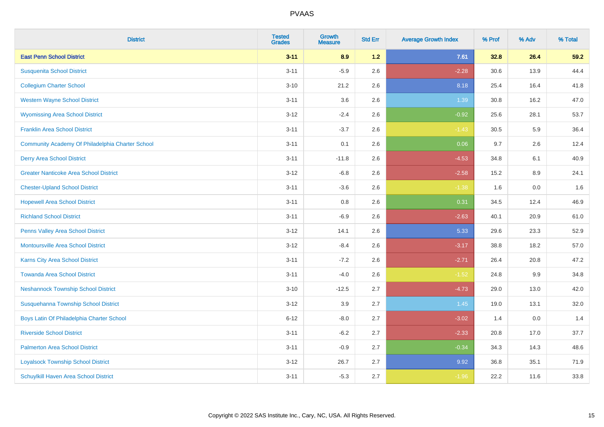| <b>District</b>                                  | <b>Tested</b><br><b>Grades</b> | <b>Growth</b><br><b>Measure</b> | <b>Std Err</b> | <b>Average Growth Index</b> | % Prof | % Adv | % Total |
|--------------------------------------------------|--------------------------------|---------------------------------|----------------|-----------------------------|--------|-------|---------|
| <b>East Penn School District</b>                 | $3 - 11$                       | 8.9                             | 1.2            | 7.61                        | 32.8   | 26.4  | 59.2    |
| <b>Susquenita School District</b>                | $3 - 11$                       | $-5.9$                          | 2.6            | $-2.28$                     | 30.6   | 13.9  | 44.4    |
| <b>Collegium Charter School</b>                  | $3 - 10$                       | 21.2                            | 2.6            | 8.18                        | 25.4   | 16.4  | 41.8    |
| <b>Western Wayne School District</b>             | $3 - 11$                       | 3.6                             | 2.6            | 1.39                        | 30.8   | 16.2  | 47.0    |
| <b>Wyomissing Area School District</b>           | $3-12$                         | $-2.4$                          | 2.6            | $-0.92$                     | 25.6   | 28.1  | 53.7    |
| <b>Franklin Area School District</b>             | $3 - 11$                       | $-3.7$                          | 2.6            | $-1.43$                     | 30.5   | 5.9   | 36.4    |
| Community Academy Of Philadelphia Charter School | $3 - 11$                       | 0.1                             | 2.6            | 0.06                        | 9.7    | 2.6   | 12.4    |
| <b>Derry Area School District</b>                | $3 - 11$                       | $-11.8$                         | 2.6            | $-4.53$                     | 34.8   | 6.1   | 40.9    |
| <b>Greater Nanticoke Area School District</b>    | $3-12$                         | $-6.8$                          | 2.6            | $-2.58$                     | 15.2   | 8.9   | 24.1    |
| <b>Chester-Upland School District</b>            | $3 - 11$                       | $-3.6$                          | 2.6            | $-1.38$                     | 1.6    | 0.0   | 1.6     |
| <b>Hopewell Area School District</b>             | $3 - 11$                       | 0.8                             | 2.6            | 0.31                        | 34.5   | 12.4  | 46.9    |
| <b>Richland School District</b>                  | $3 - 11$                       | $-6.9$                          | 2.6            | $-2.63$                     | 40.1   | 20.9  | 61.0    |
| Penns Valley Area School District                | $3 - 12$                       | 14.1                            | 2.6            | 5.33                        | 29.6   | 23.3  | 52.9    |
| <b>Montoursville Area School District</b>        | $3 - 12$                       | $-8.4$                          | 2.6            | $-3.17$                     | 38.8   | 18.2  | 57.0    |
| Karns City Area School District                  | $3 - 11$                       | $-7.2$                          | 2.6            | $-2.71$                     | 26.4   | 20.8  | 47.2    |
| <b>Towanda Area School District</b>              | $3 - 11$                       | $-4.0$                          | 2.6            | $-1.52$                     | 24.8   | 9.9   | 34.8    |
| <b>Neshannock Township School District</b>       | $3 - 10$                       | $-12.5$                         | 2.7            | $-4.73$                     | 29.0   | 13.0  | 42.0    |
| Susquehanna Township School District             | $3-12$                         | 3.9                             | 2.7            | 1.45                        | 19.0   | 13.1  | 32.0    |
| Boys Latin Of Philadelphia Charter School        | $6 - 12$                       | $-8.0$                          | 2.7            | $-3.02$                     | 1.4    | 0.0   | 1.4     |
| <b>Riverside School District</b>                 | $3 - 11$                       | $-6.2$                          | 2.7            | $-2.33$                     | 20.8   | 17.0  | 37.7    |
| <b>Palmerton Area School District</b>            | $3 - 11$                       | $-0.9$                          | 2.7            | $-0.34$                     | 34.3   | 14.3  | 48.6    |
| <b>Loyalsock Township School District</b>        | $3-12$                         | 26.7                            | 2.7            | 9.92                        | 36.8   | 35.1  | 71.9    |
| <b>Schuylkill Haven Area School District</b>     | $3 - 11$                       | $-5.3$                          | 2.7            | $-1.96$                     | 22.2   | 11.6  | 33.8    |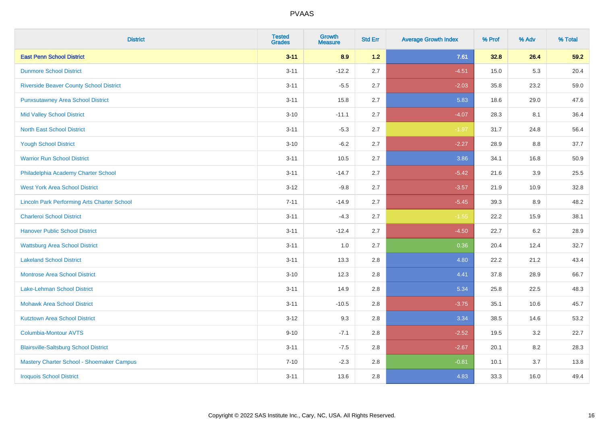| <b>District</b>                                    | <b>Tested</b><br><b>Grades</b> | <b>Growth</b><br><b>Measure</b> | <b>Std Err</b> | <b>Average Growth Index</b> | % Prof | % Adv   | % Total |
|----------------------------------------------------|--------------------------------|---------------------------------|----------------|-----------------------------|--------|---------|---------|
| <b>East Penn School District</b>                   | $3 - 11$                       | 8.9                             | 1.2            | 7.61                        | 32.8   | 26.4    | 59.2    |
| <b>Dunmore School District</b>                     | $3 - 11$                       | $-12.2$                         | 2.7            | $-4.51$                     | 15.0   | 5.3     | 20.4    |
| <b>Riverside Beaver County School District</b>     | $3 - 11$                       | $-5.5$                          | 2.7            | $-2.03$                     | 35.8   | 23.2    | 59.0    |
| <b>Punxsutawney Area School District</b>           | $3 - 11$                       | 15.8                            | 2.7            | 5.83                        | 18.6   | 29.0    | 47.6    |
| <b>Mid Valley School District</b>                  | $3 - 10$                       | $-11.1$                         | 2.7            | $-4.07$                     | 28.3   | 8.1     | 36.4    |
| <b>North East School District</b>                  | $3 - 11$                       | $-5.3$                          | 2.7            | $-1.97$                     | 31.7   | 24.8    | 56.4    |
| <b>Yough School District</b>                       | $3 - 10$                       | $-6.2$                          | 2.7            | $-2.27$                     | 28.9   | 8.8     | 37.7    |
| <b>Warrior Run School District</b>                 | $3 - 11$                       | 10.5                            | 2.7            | 3.86                        | 34.1   | 16.8    | 50.9    |
| Philadelphia Academy Charter School                | $3 - 11$                       | $-14.7$                         | 2.7            | $-5.42$                     | 21.6   | 3.9     | 25.5    |
| <b>West York Area School District</b>              | $3 - 12$                       | $-9.8$                          | 2.7            | $-3.57$                     | 21.9   | 10.9    | 32.8    |
| <b>Lincoln Park Performing Arts Charter School</b> | $7 - 11$                       | $-14.9$                         | 2.7            | $-5.45$                     | 39.3   | 8.9     | 48.2    |
| <b>Charleroi School District</b>                   | $3 - 11$                       | $-4.3$                          | 2.7            | $-1.55$                     | 22.2   | 15.9    | 38.1    |
| <b>Hanover Public School District</b>              | $3 - 11$                       | $-12.4$                         | 2.7            | $-4.50$                     | 22.7   | $6.2\,$ | 28.9    |
| <b>Wattsburg Area School District</b>              | $3 - 11$                       | 1.0                             | 2.7            | 0.36                        | 20.4   | 12.4    | 32.7    |
| <b>Lakeland School District</b>                    | $3 - 11$                       | 13.3                            | 2.8            | 4.80                        | 22.2   | 21.2    | 43.4    |
| <b>Montrose Area School District</b>               | $3 - 10$                       | 12.3                            | 2.8            | 4.41                        | 37.8   | 28.9    | 66.7    |
| Lake-Lehman School District                        | $3 - 11$                       | 14.9                            | 2.8            | 5.34                        | 25.8   | 22.5    | 48.3    |
| <b>Mohawk Area School District</b>                 | $3 - 11$                       | $-10.5$                         | 2.8            | $-3.75$                     | 35.1   | 10.6    | 45.7    |
| <b>Kutztown Area School District</b>               | $3 - 12$                       | 9.3                             | 2.8            | 3.34                        | 38.5   | 14.6    | 53.2    |
| Columbia-Montour AVTS                              | $9 - 10$                       | $-7.1$                          | 2.8            | $-2.52$                     | 19.5   | 3.2     | 22.7    |
| <b>Blairsville-Saltsburg School District</b>       | $3 - 11$                       | $-7.5$                          | 2.8            | $-2.67$                     | 20.1   | 8.2     | 28.3    |
| Mastery Charter School - Shoemaker Campus          | $7 - 10$                       | $-2.3$                          | 2.8            | $-0.81$                     | 10.1   | 3.7     | 13.8    |
| <b>Iroquois School District</b>                    | $3 - 11$                       | 13.6                            | 2.8            | 4.83                        | 33.3   | 16.0    | 49.4    |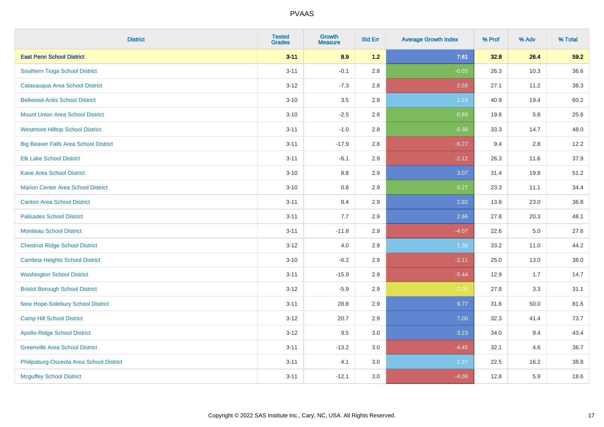| <b>District</b>                              | <b>Tested</b><br><b>Grades</b> | <b>Growth</b><br><b>Measure</b> | <b>Std Err</b> | <b>Average Growth Index</b> | % Prof | % Adv | % Total |
|----------------------------------------------|--------------------------------|---------------------------------|----------------|-----------------------------|--------|-------|---------|
| <b>East Penn School District</b>             | $3 - 11$                       | 8.9                             | 1.2            | 7.61                        | 32.8   | 26.4  | 59.2    |
| Southern Tioga School District               | $3 - 11$                       | $-0.1$                          | 2.8            | $-0.03$                     | 26.3   | 10.3  | 36.6    |
| Catasauqua Area School District              | $3 - 12$                       | $-7.3$                          | 2.8            | $-2.58$                     | 27.1   | 11.2  | 38.3    |
| <b>Bellwood-Antis School District</b>        | $3 - 10$                       | $3.5\,$                         | 2.8            | 1.24                        | 40.9   | 19.4  | 60.2    |
| <b>Mount Union Area School District</b>      | $3 - 10$                       | $-2.5$                          | 2.8            | $-0.89$                     | 19.8   | 5.8   | 25.6    |
| <b>Westmont Hilltop School District</b>      | $3 - 11$                       | $-1.0$                          | 2.8            | $-0.36$                     | 33.3   | 14.7  | 48.0    |
| <b>Big Beaver Falls Area School District</b> | $3 - 11$                       | $-17.9$                         | 2.8            | $-6.27$                     | 9.4    | 2.8   | 12.2    |
| <b>Elk Lake School District</b>              | $3 - 11$                       | $-6.1$                          | 2.9            | $-2.12$                     | 26.3   | 11.6  | 37.9    |
| <b>Kane Area School District</b>             | $3 - 10$                       | 8.8                             | 2.9            | 3.07                        | 31.4   | 19.8  | 51.2    |
| <b>Marion Center Area School District</b>    | $3 - 10$                       | 0.8                             | 2.9            | 0.27                        | 23.3   | 11.1  | 34.4    |
| <b>Canton Area School District</b>           | $3 - 11$                       | 8.4                             | 2.9            | 2.92                        | 13.8   | 23.0  | 36.8    |
| <b>Palisades School District</b>             | $3 - 11$                       | 7.7                             | 2.9            | 2.66                        | 27.8   | 20.3  | 48.1    |
| <b>Moniteau School District</b>              | $3 - 11$                       | $-11.8$                         | 2.9            | $-4.07$                     | 22.6   | 5.0   | 27.6    |
| <b>Chestnut Ridge School District</b>        | $3 - 12$                       | 4.0                             | 2.9            | 1.38                        | 33.2   | 11.0  | 44.2    |
| <b>Cambria Heights School District</b>       | $3 - 10$                       | $-6.2$                          | 2.9            | $-2.11$                     | 25.0   | 13.0  | 38.0    |
| <b>Washington School District</b>            | $3 - 11$                       | $-15.9$                         | 2.9            | $-5.44$                     | 12.9   | 1.7   | 14.7    |
| <b>Bristol Borough School District</b>       | $3 - 12$                       | $-5.9$                          | 2.9            | $-2.00$                     | 27.8   | 3.3   | 31.1    |
| New Hope-Solebury School District            | $3 - 11$                       | 28.8                            | 2.9            | 9.77                        | 31.6   | 50.0  | 81.6    |
| <b>Camp Hill School District</b>             | $3 - 12$                       | 20.7                            | 2.9            | 7.00                        | 32.3   | 41.4  | 73.7    |
| <b>Apollo-Ridge School District</b>          | $3-12$                         | 9.5                             | 3.0            | 3.23                        | 34.0   | 9.4   | 43.4    |
| <b>Greenville Area School District</b>       | $3 - 11$                       | $-13.2$                         | 3.0            | $-4.45$                     | 32.1   | 4.6   | 36.7    |
| Philipsburg-Osceola Area School District     | $3 - 11$                       | 4.1                             | 3.0            | 1.37                        | 22.5   | 16.2  | 38.8    |
| <b>Mcguffey School District</b>              | $3 - 11$                       | $-12.1$                         | 3.0            | $-4.06$                     | 12.8   | 5.9   | 18.6    |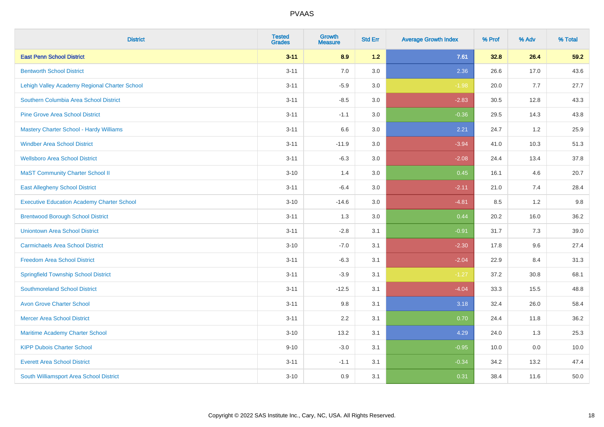| <b>District</b>                                   | <b>Tested</b><br><b>Grades</b> | <b>Growth</b><br><b>Measure</b> | <b>Std Err</b> | <b>Average Growth Index</b> | % Prof | % Adv | % Total |
|---------------------------------------------------|--------------------------------|---------------------------------|----------------|-----------------------------|--------|-------|---------|
| <b>East Penn School District</b>                  | $3 - 11$                       | 8.9                             | $1.2$          | 7.61                        | 32.8   | 26.4  | 59.2    |
| <b>Bentworth School District</b>                  | $3 - 11$                       | $7.0$                           | 3.0            | 2.36                        | 26.6   | 17.0  | 43.6    |
| Lehigh Valley Academy Regional Charter School     | $3 - 11$                       | $-5.9$                          | 3.0            | $-1.98$                     | 20.0   | 7.7   | 27.7    |
| Southern Columbia Area School District            | $3 - 11$                       | $-8.5$                          | 3.0            | $-2.83$                     | 30.5   | 12.8  | 43.3    |
| <b>Pine Grove Area School District</b>            | $3 - 11$                       | $-1.1$                          | 3.0            | $-0.36$                     | 29.5   | 14.3  | 43.8    |
| Mastery Charter School - Hardy Williams           | $3 - 11$                       | 6.6                             | 3.0            | 2.21                        | 24.7   | 1.2   | 25.9    |
| <b>Windber Area School District</b>               | $3 - 11$                       | $-11.9$                         | 3.0            | $-3.94$                     | 41.0   | 10.3  | 51.3    |
| <b>Wellsboro Area School District</b>             | $3 - 11$                       | $-6.3$                          | 3.0            | $-2.08$                     | 24.4   | 13.4  | 37.8    |
| <b>MaST Community Charter School II</b>           | $3 - 10$                       | 1.4                             | 3.0            | 0.45                        | 16.1   | 4.6   | 20.7    |
| <b>East Allegheny School District</b>             | $3 - 11$                       | $-6.4$                          | 3.0            | $-2.11$                     | 21.0   | 7.4   | 28.4    |
| <b>Executive Education Academy Charter School</b> | $3 - 10$                       | $-14.6$                         | 3.0            | $-4.81$                     | 8.5    | 1.2   | 9.8     |
| <b>Brentwood Borough School District</b>          | $3 - 11$                       | 1.3                             | 3.0            | 0.44                        | 20.2   | 16.0  | 36.2    |
| <b>Uniontown Area School District</b>             | $3 - 11$                       | $-2.8$                          | 3.1            | $-0.91$                     | 31.7   | 7.3   | 39.0    |
| <b>Carmichaels Area School District</b>           | $3 - 10$                       | $-7.0$                          | 3.1            | $-2.30$                     | 17.8   | 9.6   | 27.4    |
| <b>Freedom Area School District</b>               | $3 - 11$                       | $-6.3$                          | 3.1            | $-2.04$                     | 22.9   | 8.4   | 31.3    |
| <b>Springfield Township School District</b>       | $3 - 11$                       | $-3.9$                          | 3.1            | $-1.27$                     | 37.2   | 30.8  | 68.1    |
| <b>Southmoreland School District</b>              | $3 - 11$                       | $-12.5$                         | 3.1            | $-4.04$                     | 33.3   | 15.5  | 48.8    |
| <b>Avon Grove Charter School</b>                  | $3 - 11$                       | 9.8                             | 3.1            | 3.18                        | 32.4   | 26.0  | 58.4    |
| <b>Mercer Area School District</b>                | $3 - 11$                       | 2.2                             | 3.1            | 0.70                        | 24.4   | 11.8  | 36.2    |
| Maritime Academy Charter School                   | $3 - 10$                       | 13.2                            | 3.1            | 4.29                        | 24.0   | 1.3   | 25.3    |
| <b>KIPP Dubois Charter School</b>                 | $9 - 10$                       | $-3.0$                          | 3.1            | $-0.95$                     | 10.0   | 0.0   | 10.0    |
| <b>Everett Area School District</b>               | $3 - 11$                       | $-1.1$                          | 3.1            | $-0.34$                     | 34.2   | 13.2  | 47.4    |
| South Williamsport Area School District           | $3 - 10$                       | 0.9                             | 3.1            | 0.31                        | 38.4   | 11.6  | 50.0    |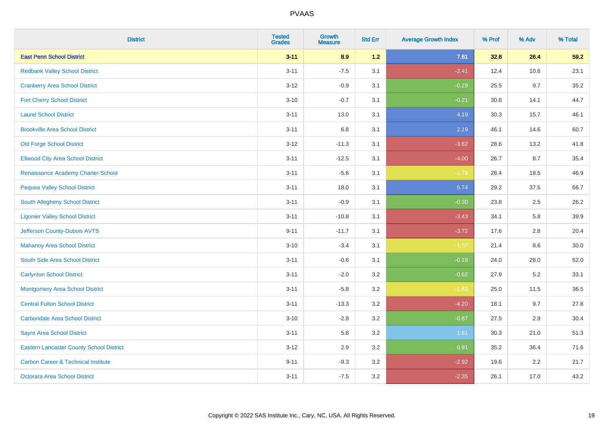| <b>District</b>                                 | <b>Tested</b><br><b>Grades</b> | <b>Growth</b><br><b>Measure</b> | <b>Std Err</b> | <b>Average Growth Index</b> | % Prof | % Adv | % Total |
|-------------------------------------------------|--------------------------------|---------------------------------|----------------|-----------------------------|--------|-------|---------|
| <b>East Penn School District</b>                | $3 - 11$                       | 8.9                             | 1.2            | 7.61                        | 32.8   | 26.4  | 59.2    |
| <b>Redbank Valley School District</b>           | $3 - 11$                       | $-7.5$                          | 3.1            | $-2.41$                     | 12.4   | 10.6  | 23.1    |
| <b>Cranberry Area School District</b>           | $3 - 12$                       | $-0.9$                          | 3.1            | $-0.29$                     | 25.5   | 9.7   | 35.2    |
| <b>Fort Cherry School District</b>              | $3 - 10$                       | $-0.7$                          | 3.1            | $-0.21$                     | 30.6   | 14.1  | 44.7    |
| <b>Laurel School District</b>                   | $3 - 11$                       | 13.0                            | 3.1            | 4.19                        | 30.3   | 15.7  | 46.1    |
| <b>Brookville Area School District</b>          | $3 - 11$                       | 6.8                             | 3.1            | 2.19                        | 46.1   | 14.6  | 60.7    |
| <b>Old Forge School District</b>                | $3 - 12$                       | $-11.3$                         | 3.1            | $-3.62$                     | 28.6   | 13.2  | 41.8    |
| <b>Ellwood City Area School District</b>        | $3 - 11$                       | $-12.5$                         | 3.1            | $-4.00$                     | 26.7   | 8.7   | 35.4    |
| Renaissance Academy Charter School              | $3 - 11$                       | $-5.6$                          | 3.1            | $-1.79$                     | 28.4   | 18.5  | 46.9    |
| <b>Pequea Valley School District</b>            | $3 - 11$                       | 18.0                            | 3.1            | 5.74                        | 29.2   | 37.5  | 66.7    |
| South Allegheny School District                 | $3 - 11$                       | $-0.9$                          | 3.1            | $-0.30$                     | 23.8   | 2.5   | 26.2    |
| <b>Ligonier Valley School District</b>          | $3 - 11$                       | $-10.8$                         | 3.1            | $-3.43$                     | 34.1   | 5.8   | 39.9    |
| Jefferson County-Dubois AVTS                    | $9 - 11$                       | $-11.7$                         | 3.1            | $-3.72$                     | 17.6   | 2.8   | 20.4    |
| <b>Mahanoy Area School District</b>             | $3 - 10$                       | $-3.4$                          | 3.1            | $-1.07$                     | 21.4   | 8.6   | 30.0    |
| South Side Area School District                 | $3 - 11$                       | $-0.6$                          | 3.1            | $-0.19$                     | 24.0   | 28.0  | 52.0    |
| <b>Carlynton School District</b>                | $3 - 11$                       | $-2.0$                          | 3.2            | $-0.62$                     | 27.9   | 5.2   | 33.1    |
| <b>Montgomery Area School District</b>          | $3 - 11$                       | $-5.8$                          | 3.2            | $-1.83$                     | 25.0   | 11.5  | 36.5    |
| <b>Central Fulton School District</b>           | $3 - 11$                       | $-13.3$                         | 3.2            | $-4.20$                     | 18.1   | 9.7   | 27.8    |
| <b>Carbondale Area School District</b>          | $3 - 10$                       | $-2.8$                          | 3.2            | $-0.87$                     | 27.5   | 2.9   | 30.4    |
| <b>Sayre Area School District</b>               | $3 - 11$                       | 5.8                             | 3.2            | 1.81                        | 30.3   | 21.0  | 51.3    |
| <b>Eastern Lancaster County School District</b> | $3 - 12$                       | 2.9                             | 3.2            | 0.91                        | 35.2   | 36.4  | 71.6    |
| <b>Carbon Career &amp; Technical Institute</b>  | $9 - 11$                       | $-9.3$                          | 3.2            | $-2.92$                     | 19.6   | 2.2   | 21.7    |
| Octorara Area School District                   | $3 - 11$                       | $-7.5$                          | 3.2            | $-2.35$                     | 26.1   | 17.0  | 43.2    |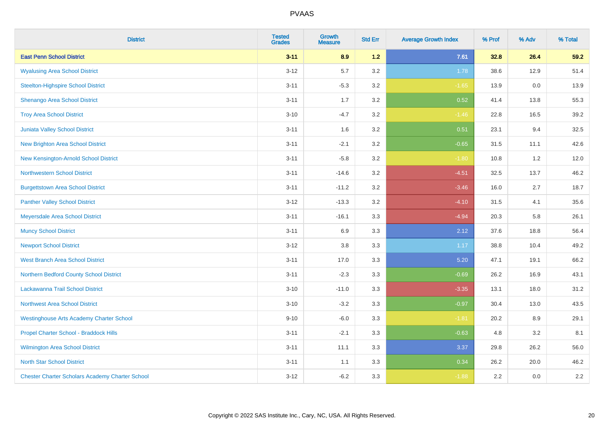| <b>District</b>                                        | <b>Tested</b><br><b>Grades</b> | <b>Growth</b><br><b>Measure</b> | <b>Std Err</b> | <b>Average Growth Index</b> | % Prof | % Adv | % Total |
|--------------------------------------------------------|--------------------------------|---------------------------------|----------------|-----------------------------|--------|-------|---------|
| <b>East Penn School District</b>                       | $3 - 11$                       | 8.9                             | $1.2$          | 7.61                        | 32.8   | 26.4  | 59.2    |
| <b>Wyalusing Area School District</b>                  | $3 - 12$                       | 5.7                             | 3.2            | 1.78                        | 38.6   | 12.9  | 51.4    |
| <b>Steelton-Highspire School District</b>              | $3 - 11$                       | $-5.3$                          | 3.2            | $-1.65$                     | 13.9   | 0.0   | 13.9    |
| <b>Shenango Area School District</b>                   | $3 - 11$                       | 1.7                             | 3.2            | 0.52                        | 41.4   | 13.8  | 55.3    |
| <b>Troy Area School District</b>                       | $3 - 10$                       | $-4.7$                          | 3.2            | $-1.46$                     | 22.8   | 16.5  | 39.2    |
| Juniata Valley School District                         | $3 - 11$                       | 1.6                             | 3.2            | 0.51                        | 23.1   | 9.4   | 32.5    |
| <b>New Brighton Area School District</b>               | $3 - 11$                       | $-2.1$                          | 3.2            | $-0.65$                     | 31.5   | 11.1  | 42.6    |
| New Kensington-Arnold School District                  | $3 - 11$                       | $-5.8$                          | 3.2            | $-1.80$                     | 10.8   | 1.2   | 12.0    |
| <b>Northwestern School District</b>                    | $3 - 11$                       | $-14.6$                         | 3.2            | $-4.51$                     | 32.5   | 13.7  | 46.2    |
| <b>Burgettstown Area School District</b>               | $3 - 11$                       | $-11.2$                         | 3.2            | $-3.46$                     | 16.0   | 2.7   | 18.7    |
| <b>Panther Valley School District</b>                  | $3 - 12$                       | $-13.3$                         | 3.2            | $-4.10$                     | 31.5   | 4.1   | 35.6    |
| Meyersdale Area School District                        | $3 - 11$                       | $-16.1$                         | 3.3            | $-4.94$                     | 20.3   | 5.8   | 26.1    |
| <b>Muncy School District</b>                           | $3 - 11$                       | 6.9                             | 3.3            | 2.12                        | 37.6   | 18.8  | 56.4    |
| <b>Newport School District</b>                         | $3 - 12$                       | 3.8                             | 3.3            | 1.17                        | 38.8   | 10.4  | 49.2    |
| <b>West Branch Area School District</b>                | $3 - 11$                       | 17.0                            | 3.3            | 5.20                        | 47.1   | 19.1  | 66.2    |
| Northern Bedford County School District                | $3 - 11$                       | $-2.3$                          | 3.3            | $-0.69$                     | 26.2   | 16.9  | 43.1    |
| Lackawanna Trail School District                       | $3 - 10$                       | $-11.0$                         | 3.3            | $-3.35$                     | 13.1   | 18.0  | 31.2    |
| Northwest Area School District                         | $3 - 10$                       | $-3.2$                          | 3.3            | $-0.97$                     | 30.4   | 13.0  | 43.5    |
| <b>Westinghouse Arts Academy Charter School</b>        | $9 - 10$                       | $-6.0$                          | 3.3            | $-1.81$                     | 20.2   | 8.9   | 29.1    |
| Propel Charter School - Braddock Hills                 | $3 - 11$                       | $-2.1$                          | 3.3            | $-0.63$                     | 4.8    | 3.2   | 8.1     |
| Wilmington Area School District                        | $3 - 11$                       | 11.1                            | 3.3            | 3.37                        | 29.8   | 26.2  | 56.0    |
| <b>North Star School District</b>                      | $3 - 11$                       | 1.1                             | 3.3            | 0.34                        | 26.2   | 20.0  | 46.2    |
| <b>Chester Charter Scholars Academy Charter School</b> | $3 - 12$                       | $-6.2$                          | 3.3            | $-1.88$                     | 2.2    | 0.0   | 2.2     |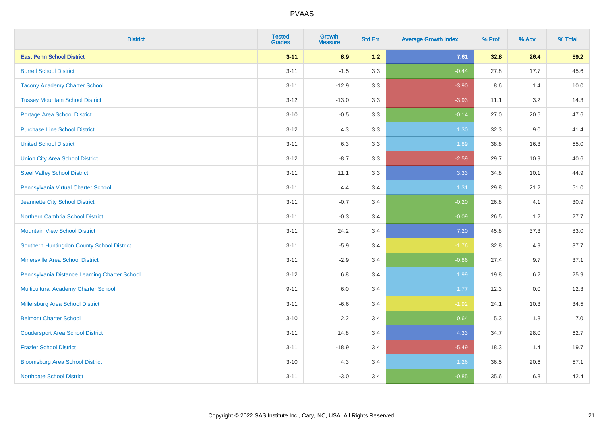| <b>District</b>                               | <b>Tested</b><br><b>Grades</b> | <b>Growth</b><br><b>Measure</b> | <b>Std Err</b> | <b>Average Growth Index</b> | % Prof | % Adv | % Total |
|-----------------------------------------------|--------------------------------|---------------------------------|----------------|-----------------------------|--------|-------|---------|
| <b>East Penn School District</b>              | $3 - 11$                       | 8.9                             | 1.2            | 7.61                        | 32.8   | 26.4  | 59.2    |
| <b>Burrell School District</b>                | $3 - 11$                       | $-1.5$                          | 3.3            | $-0.44$                     | 27.8   | 17.7  | 45.6    |
| <b>Tacony Academy Charter School</b>          | $3 - 11$                       | $-12.9$                         | 3.3            | $-3.90$                     | 8.6    | 1.4   | 10.0    |
| <b>Tussey Mountain School District</b>        | $3 - 12$                       | $-13.0$                         | 3.3            | $-3.93$                     | 11.1   | 3.2   | 14.3    |
| <b>Portage Area School District</b>           | $3 - 10$                       | $-0.5$                          | 3.3            | $-0.14$                     | 27.0   | 20.6  | 47.6    |
| <b>Purchase Line School District</b>          | $3 - 12$                       | 4.3                             | 3.3            | 1.30                        | 32.3   | 9.0   | 41.4    |
| <b>United School District</b>                 | $3 - 11$                       | 6.3                             | 3.3            | 1.89                        | 38.8   | 16.3  | 55.0    |
| <b>Union City Area School District</b>        | $3 - 12$                       | $-8.7$                          | 3.3            | $-2.59$                     | 29.7   | 10.9  | 40.6    |
| <b>Steel Valley School District</b>           | $3 - 11$                       | 11.1                            | 3.3            | 3.33                        | 34.8   | 10.1  | 44.9    |
| Pennsylvania Virtual Charter School           | $3 - 11$                       | 4.4                             | 3.4            | 1.31                        | 29.8   | 21.2  | 51.0    |
| Jeannette City School District                | $3 - 11$                       | $-0.7$                          | 3.4            | $-0.20$                     | 26.8   | 4.1   | 30.9    |
| <b>Northern Cambria School District</b>       | $3 - 11$                       | $-0.3$                          | 3.4            | $-0.09$                     | 26.5   | 1.2   | 27.7    |
| <b>Mountain View School District</b>          | $3 - 11$                       | 24.2                            | 3.4            | 7.20                        | 45.8   | 37.3  | 83.0    |
| Southern Huntingdon County School District    | $3 - 11$                       | $-5.9$                          | 3.4            | $-1.76$                     | 32.8   | 4.9   | 37.7    |
| <b>Minersville Area School District</b>       | $3 - 11$                       | $-2.9$                          | 3.4            | $-0.86$                     | 27.4   | 9.7   | 37.1    |
| Pennsylvania Distance Learning Charter School | $3 - 12$                       | 6.8                             | 3.4            | 1.99                        | 19.8   | 6.2   | 25.9    |
| <b>Multicultural Academy Charter School</b>   | $9 - 11$                       | 6.0                             | 3.4            | 1.77                        | 12.3   | 0.0   | 12.3    |
| Millersburg Area School District              | $3 - 11$                       | $-6.6$                          | 3.4            | $-1.92$                     | 24.1   | 10.3  | 34.5    |
| <b>Belmont Charter School</b>                 | $3 - 10$                       | 2.2                             | 3.4            | 0.64                        | 5.3    | 1.8   | 7.0     |
| <b>Coudersport Area School District</b>       | $3 - 11$                       | 14.8                            | 3.4            | 4.33                        | 34.7   | 28.0  | 62.7    |
| <b>Frazier School District</b>                | $3 - 11$                       | $-18.9$                         | 3.4            | $-5.49$                     | 18.3   | 1.4   | 19.7    |
| <b>Bloomsburg Area School District</b>        | $3 - 10$                       | 4.3                             | 3.4            | 1.26                        | 36.5   | 20.6  | 57.1    |
| <b>Northgate School District</b>              | $3 - 11$                       | $-3.0$                          | 3.4            | $-0.85$                     | 35.6   | 6.8   | 42.4    |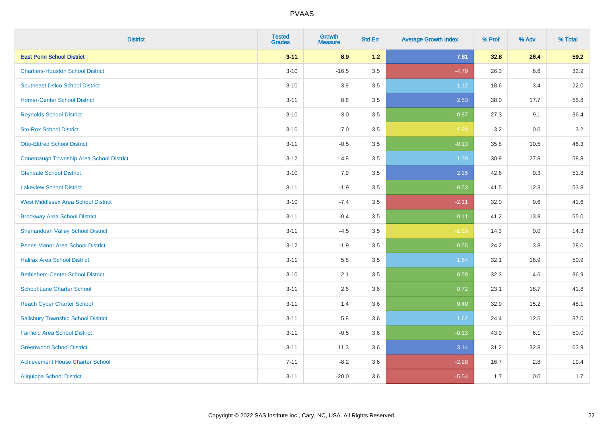| <b>District</b>                                | <b>Tested</b><br><b>Grades</b> | <b>Growth</b><br><b>Measure</b> | <b>Std Err</b> | <b>Average Growth Index</b> | % Prof | % Adv | % Total |
|------------------------------------------------|--------------------------------|---------------------------------|----------------|-----------------------------|--------|-------|---------|
| <b>East Penn School District</b>               | $3 - 11$                       | 8.9                             | 1.2            | 7.61                        | 32.8   | 26.4  | 59.2    |
| <b>Chartiers-Houston School District</b>       | $3 - 10$                       | $-16.5$                         | 3.5            | $-4.79$                     | 26.3   | 6.6   | 32.9    |
| <b>Southeast Delco School District</b>         | $3 - 10$                       | 3.9                             | 3.5            | 1.12                        | 18.6   | 3.4   | 22.0    |
| <b>Homer-Center School District</b>            | $3 - 11$                       | 8.8                             | 3.5            | 2.53                        | 38.0   | 17.7  | 55.8    |
| <b>Reynolds School District</b>                | $3 - 10$                       | $-3.0$                          | 3.5            | $-0.87$                     | 27.3   | 9.1   | 36.4    |
| <b>Sto-Rox School District</b>                 | $3 - 10$                       | $-7.0$                          | 3.5            | $-1.99$                     | 3.2    | 0.0   | $3.2\,$ |
| <b>Otto-Eldred School District</b>             | $3 - 11$                       | $-0.5$                          | 3.5            | $-0.13$                     | 35.8   | 10.5  | 46.3    |
| <b>Conemaugh Township Area School District</b> | $3 - 12$                       | 4.8                             | 3.5            | 1.39                        | 30.9   | 27.8  | 58.8    |
| <b>Glendale School District</b>                | $3 - 10$                       | 7.9                             | 3.5            | 2.25                        | 42.6   | 9.3   | 51.8    |
| <b>Lakeview School District</b>                | $3 - 11$                       | $-1.9$                          | 3.5            | $-0.53$                     | 41.5   | 12.3  | 53.8    |
| <b>West Middlesex Area School District</b>     | $3 - 10$                       | $-7.4$                          | 3.5            | $-2.11$                     | 32.0   | 9.6   | 41.6    |
| <b>Brockway Area School District</b>           | $3 - 11$                       | $-0.4$                          | 3.5            | $-0.11$                     | 41.2   | 13.8  | 55.0    |
| <b>Shenandoah Valley School District</b>       | $3 - 11$                       | $-4.5$                          | 3.5            | $-1.29$                     | 14.3   | 0.0   | 14.3    |
| <b>Penns Manor Area School District</b>        | $3 - 12$                       | $-1.9$                          | 3.5            | $-0.55$                     | 24.2   | 3.8   | 28.0    |
| <b>Halifax Area School District</b>            | $3 - 11$                       | 5.8                             | 3.5            | 1.64                        | 32.1   | 18.9  | 50.9    |
| <b>Bethlehem-Center School District</b>        | $3 - 10$                       | 2.1                             | 3.5            | 0.59                        | 32.3   | 4.6   | 36.9    |
| <b>School Lane Charter School</b>              | $3 - 11$                       | 2.6                             | 3.6            | 0.72                        | 23.1   | 18.7  | 41.8    |
| <b>Reach Cyber Charter School</b>              | $3 - 11$                       | 1.4                             | 3.6            | 0.40                        | 32.9   | 15.2  | 48.1    |
| <b>Salisbury Township School District</b>      | $3 - 11$                       | 5.8                             | 3.6            | 1.62                        | 24.4   | 12.6  | 37.0    |
| <b>Fairfield Area School District</b>          | $3 - 11$                       | $-0.5$                          | 3.6            | $-0.13$                     | 43.9   | 6.1   | 50.0    |
| <b>Greenwood School District</b>               | $3 - 11$                       | 11.3                            | 3.6            | 3.14                        | 31.2   | 32.8  | 63.9    |
| <b>Achievement House Charter School</b>        | $7 - 11$                       | $-8.2$                          | 3.6            | $-2.28$                     | 16.7   | 2.8   | 19.4    |
| <b>Aliquippa School District</b>               | $3 - 11$                       | $-20.0$                         | 3.6            | $-5.54$                     | 1.7    | 0.0   | 1.7     |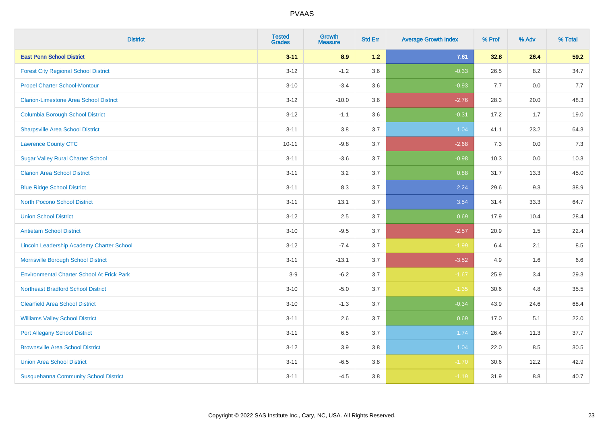| <b>District</b>                                   | <b>Tested</b><br><b>Grades</b> | <b>Growth</b><br><b>Measure</b> | <b>Std Err</b> | <b>Average Growth Index</b> | % Prof | % Adv | % Total |
|---------------------------------------------------|--------------------------------|---------------------------------|----------------|-----------------------------|--------|-------|---------|
| <b>East Penn School District</b>                  | $3 - 11$                       | 8.9                             | $1.2$          | 7.61                        | 32.8   | 26.4  | 59.2    |
| <b>Forest City Regional School District</b>       | $3 - 12$                       | $-1.2$                          | 3.6            | $-0.33$                     | 26.5   | 8.2   | 34.7    |
| <b>Propel Charter School-Montour</b>              | $3 - 10$                       | $-3.4$                          | 3.6            | $-0.93$                     | 7.7    | 0.0   | 7.7     |
| <b>Clarion-Limestone Area School District</b>     | $3 - 12$                       | $-10.0$                         | 3.6            | $-2.76$                     | 28.3   | 20.0  | 48.3    |
| <b>Columbia Borough School District</b>           | $3 - 12$                       | $-1.1$                          | 3.6            | $-0.31$                     | 17.2   | 1.7   | 19.0    |
| <b>Sharpsville Area School District</b>           | $3 - 11$                       | 3.8                             | 3.7            | 1.04                        | 41.1   | 23.2  | 64.3    |
| <b>Lawrence County CTC</b>                        | $10 - 11$                      | $-9.8$                          | 3.7            | $-2.68$                     | 7.3    | 0.0   | 7.3     |
| <b>Sugar Valley Rural Charter School</b>          | $3 - 11$                       | $-3.6$                          | 3.7            | $-0.98$                     | 10.3   | 0.0   | 10.3    |
| <b>Clarion Area School District</b>               | $3 - 11$                       | 3.2                             | 3.7            | 0.88                        | 31.7   | 13.3  | 45.0    |
| <b>Blue Ridge School District</b>                 | $3 - 11$                       | 8.3                             | 3.7            | 2.24                        | 29.6   | 9.3   | 38.9    |
| <b>North Pocono School District</b>               | $3 - 11$                       | 13.1                            | 3.7            | 3.54                        | 31.4   | 33.3  | 64.7    |
| <b>Union School District</b>                      | $3 - 12$                       | 2.5                             | 3.7            | 0.69                        | 17.9   | 10.4  | 28.4    |
| <b>Antietam School District</b>                   | $3 - 10$                       | $-9.5$                          | 3.7            | $-2.57$                     | 20.9   | 1.5   | 22.4    |
| Lincoln Leadership Academy Charter School         | $3 - 12$                       | $-7.4$                          | 3.7            | $-1.99$                     | 6.4    | 2.1   | 8.5     |
| Morrisville Borough School District               | $3 - 11$                       | $-13.1$                         | 3.7            | $-3.52$                     | 4.9    | 1.6   | 6.6     |
| <b>Environmental Charter School At Frick Park</b> | $3-9$                          | $-6.2$                          | 3.7            | $-1.67$                     | 25.9   | 3.4   | 29.3    |
| <b>Northeast Bradford School District</b>         | $3 - 10$                       | $-5.0$                          | 3.7            | $-1.35$                     | 30.6   | 4.8   | 35.5    |
| <b>Clearfield Area School District</b>            | $3 - 10$                       | $-1.3$                          | 3.7            | $-0.34$                     | 43.9   | 24.6  | 68.4    |
| <b>Williams Valley School District</b>            | $3 - 11$                       | 2.6                             | 3.7            | 0.69                        | 17.0   | 5.1   | 22.0    |
| <b>Port Allegany School District</b>              | $3 - 11$                       | 6.5                             | 3.7            | 1.74                        | 26.4   | 11.3  | 37.7    |
| <b>Brownsville Area School District</b>           | $3 - 12$                       | 3.9                             | 3.8            | 1.04                        | 22.0   | 8.5   | 30.5    |
| <b>Union Area School District</b>                 | $3 - 11$                       | $-6.5$                          | 3.8            | $-1.70$                     | 30.6   | 12.2  | 42.9    |
| <b>Susquehanna Community School District</b>      | $3 - 11$                       | $-4.5$                          | 3.8            | $-1.19$                     | 31.9   | 8.8   | 40.7    |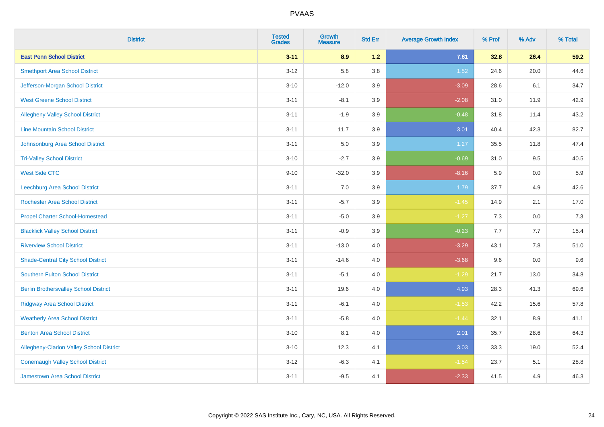| <b>District</b>                                 | <b>Tested</b><br><b>Grades</b> | <b>Growth</b><br><b>Measure</b> | <b>Std Err</b> | <b>Average Growth Index</b> | % Prof | % Adv   | % Total |
|-------------------------------------------------|--------------------------------|---------------------------------|----------------|-----------------------------|--------|---------|---------|
| <b>East Penn School District</b>                | $3 - 11$                       | 8.9                             | 1.2            | 7.61                        | 32.8   | 26.4    | 59.2    |
| <b>Smethport Area School District</b>           | $3 - 12$                       | 5.8                             | 3.8            | 1.52                        | 24.6   | 20.0    | 44.6    |
| Jefferson-Morgan School District                | $3 - 10$                       | $-12.0$                         | 3.9            | $-3.09$                     | 28.6   | 6.1     | 34.7    |
| <b>West Greene School District</b>              | $3 - 11$                       | $-8.1$                          | 3.9            | $-2.08$                     | 31.0   | 11.9    | 42.9    |
| <b>Allegheny Valley School District</b>         | $3 - 11$                       | $-1.9$                          | 3.9            | $-0.48$                     | 31.8   | 11.4    | 43.2    |
| <b>Line Mountain School District</b>            | $3 - 11$                       | 11.7                            | 3.9            | 3.01                        | 40.4   | 42.3    | 82.7    |
| Johnsonburg Area School District                | $3 - 11$                       | 5.0                             | 3.9            | 1.27                        | 35.5   | 11.8    | 47.4    |
| <b>Tri-Valley School District</b>               | $3 - 10$                       | $-2.7$                          | 3.9            | $-0.69$                     | 31.0   | 9.5     | 40.5    |
| <b>West Side CTC</b>                            | $9 - 10$                       | $-32.0$                         | 3.9            | $-8.16$                     | 5.9    | 0.0     | 5.9     |
| <b>Leechburg Area School District</b>           | $3 - 11$                       | 7.0                             | 3.9            | 1.79                        | 37.7   | 4.9     | 42.6    |
| <b>Rochester Area School District</b>           | $3 - 11$                       | $-5.7$                          | 3.9            | $-1.45$                     | 14.9   | 2.1     | 17.0    |
| <b>Propel Charter School-Homestead</b>          | $3 - 11$                       | $-5.0$                          | 3.9            | $-1.27$                     | 7.3    | 0.0     | 7.3     |
| <b>Blacklick Valley School District</b>         | $3 - 11$                       | $-0.9$                          | 3.9            | $-0.23$                     | 7.7    | 7.7     | 15.4    |
| <b>Riverview School District</b>                | $3 - 11$                       | $-13.0$                         | $4.0\,$        | $-3.29$                     | 43.1   | $7.8\,$ | 51.0    |
| <b>Shade-Central City School District</b>       | $3 - 11$                       | $-14.6$                         | 4.0            | $-3.68$                     | 9.6    | 0.0     | 9.6     |
| Southern Fulton School District                 | $3 - 11$                       | $-5.1$                          | 4.0            | $-1.29$                     | 21.7   | 13.0    | 34.8    |
| <b>Berlin Brothersvalley School District</b>    | $3 - 11$                       | 19.6                            | 4.0            | 4.93                        | 28.3   | 41.3    | 69.6    |
| <b>Ridgway Area School District</b>             | $3 - 11$                       | $-6.1$                          | 4.0            | $-1.53$                     | 42.2   | 15.6    | 57.8    |
| <b>Weatherly Area School District</b>           | $3 - 11$                       | $-5.8$                          | $4.0\,$        | $-1.44$                     | 32.1   | 8.9     | 41.1    |
| <b>Benton Area School District</b>              | $3 - 10$                       | 8.1                             | 4.0            | 2.01                        | 35.7   | 28.6    | 64.3    |
| <b>Allegheny-Clarion Valley School District</b> | $3 - 10$                       | 12.3                            | 4.1            | 3.03                        | 33.3   | 19.0    | 52.4    |
| <b>Conemaugh Valley School District</b>         | $3 - 12$                       | $-6.3$                          | 4.1            | $-1.54$                     | 23.7   | 5.1     | 28.8    |
| Jamestown Area School District                  | $3 - 11$                       | $-9.5$                          | 4.1            | $-2.33$                     | 41.5   | 4.9     | 46.3    |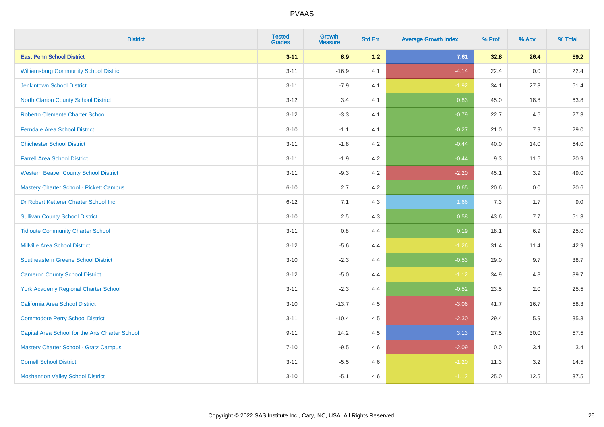| <b>District</b>                                 | <b>Tested</b><br><b>Grades</b> | Growth<br><b>Measure</b> | <b>Std Err</b> | <b>Average Growth Index</b> | % Prof | % Adv | % Total |
|-------------------------------------------------|--------------------------------|--------------------------|----------------|-----------------------------|--------|-------|---------|
| <b>East Penn School District</b>                | $3 - 11$                       | 8.9                      | $1.2$          | 7.61                        | 32.8   | 26.4  | 59.2    |
| <b>Williamsburg Community School District</b>   | $3 - 11$                       | $-16.9$                  | 4.1            | $-4.14$                     | 22.4   | 0.0   | 22.4    |
| <b>Jenkintown School District</b>               | $3 - 11$                       | $-7.9$                   | 4.1            | $-1.92$                     | 34.1   | 27.3  | 61.4    |
| North Clarion County School District            | $3 - 12$                       | 3.4                      | 4.1            | 0.83                        | 45.0   | 18.8  | 63.8    |
| <b>Roberto Clemente Charter School</b>          | $3 - 12$                       | $-3.3$                   | 4.1            | $-0.79$                     | 22.7   | 4.6   | 27.3    |
| <b>Ferndale Area School District</b>            | $3 - 10$                       | $-1.1$                   | 4.1            | $-0.27$                     | 21.0   | 7.9   | 29.0    |
| <b>Chichester School District</b>               | $3 - 11$                       | $-1.8$                   | 4.2            | $-0.44$                     | 40.0   | 14.0  | 54.0    |
| <b>Farrell Area School District</b>             | $3 - 11$                       | $-1.9$                   | 4.2            | $-0.44$                     | 9.3    | 11.6  | 20.9    |
| <b>Western Beaver County School District</b>    | $3 - 11$                       | $-9.3$                   | 4.2            | $-2.20$                     | 45.1   | 3.9   | 49.0    |
| <b>Mastery Charter School - Pickett Campus</b>  | $6 - 10$                       | 2.7                      | 4.2            | 0.65                        | 20.6   | 0.0   | 20.6    |
| Dr Robert Ketterer Charter School Inc           | $6 - 12$                       | 7.1                      | 4.3            | 1.66                        | 7.3    | 1.7   | 9.0     |
| <b>Sullivan County School District</b>          | $3 - 10$                       | 2.5                      | 4.3            | 0.58                        | 43.6   | 7.7   | 51.3    |
| <b>Tidioute Community Charter School</b>        | $3 - 11$                       | 0.8                      | 4.4            | 0.19                        | 18.1   | 6.9   | 25.0    |
| <b>Millville Area School District</b>           | $3 - 12$                       | $-5.6$                   | 4.4            | $-1.26$                     | 31.4   | 11.4  | 42.9    |
| <b>Southeastern Greene School District</b>      | $3 - 10$                       | $-2.3$                   | 4.4            | $-0.53$                     | 29.0   | 9.7   | 38.7    |
| <b>Cameron County School District</b>           | $3 - 12$                       | $-5.0$                   | 4.4            | $-1.12$                     | 34.9   | 4.8   | 39.7    |
| <b>York Academy Regional Charter School</b>     | $3 - 11$                       | $-2.3$                   | 4.4            | $-0.52$                     | 23.5   | 2.0   | 25.5    |
| California Area School District                 | $3 - 10$                       | $-13.7$                  | 4.5            | $-3.06$                     | 41.7   | 16.7  | 58.3    |
| <b>Commodore Perry School District</b>          | $3 - 11$                       | $-10.4$                  | 4.5            | $-2.30$                     | 29.4   | 5.9   | 35.3    |
| Capital Area School for the Arts Charter School | $9 - 11$                       | 14.2                     | 4.5            | 3.13                        | 27.5   | 30.0  | 57.5    |
| <b>Mastery Charter School - Gratz Campus</b>    | $7 - 10$                       | $-9.5$                   | 4.6            | $-2.09$                     | 0.0    | 3.4   | 3.4     |
| <b>Cornell School District</b>                  | $3 - 11$                       | $-5.5$                   | 4.6            | $-1.20$                     | 11.3   | 3.2   | 14.5    |
| <b>Moshannon Valley School District</b>         | $3 - 10$                       | $-5.1$                   | 4.6            | $-1.12$                     | 25.0   | 12.5  | 37.5    |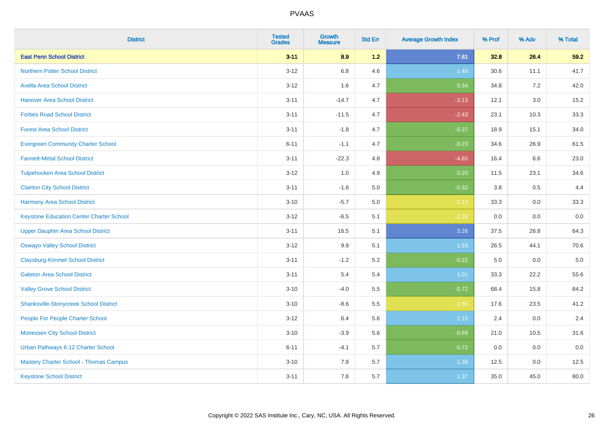| <b>District</b>                                 | <b>Tested</b><br><b>Grades</b> | <b>Growth</b><br><b>Measure</b> | <b>Std Err</b> | <b>Average Growth Index</b> | % Prof  | % Adv   | % Total |
|-------------------------------------------------|--------------------------------|---------------------------------|----------------|-----------------------------|---------|---------|---------|
| <b>East Penn School District</b>                | $3 - 11$                       | 8.9                             | 1.2            | 7.61                        | 32.8    | 26.4    | 59.2    |
| <b>Northern Potter School District</b>          | $3 - 12$                       | 6.8                             | 4.6            | 1.48                        | 30.6    | 11.1    | 41.7    |
| <b>Avella Area School District</b>              | $3 - 12$                       | 1.6                             | 4.7            | 0.34                        | 34.8    | 7.2     | 42.0    |
| <b>Hanover Area School District</b>             | $3 - 11$                       | $-14.7$                         | 4.7            | $-3.13$                     | 12.1    | $3.0\,$ | 15.2    |
| <b>Forbes Road School District</b>              | $3 - 11$                       | $-11.5$                         | 4.7            | $-2.43$                     | 23.1    | 10.3    | 33.3    |
| <b>Forest Area School District</b>              | $3 - 11$                       | $-1.8$                          | 4.7            | $-0.37$                     | 18.9    | 15.1    | 34.0    |
| <b>Evergreen Community Charter School</b>       | $6 - 11$                       | $-1.1$                          | 4.7            | $-0.23$                     | 34.6    | 26.9    | 61.5    |
| <b>Fannett-Metal School District</b>            | $3 - 11$                       | $-22.3$                         | 4.8            | $-4.65$                     | 16.4    | 6.6     | 23.0    |
| <b>Tulpehocken Area School District</b>         | $3 - 12$                       | 1.0                             | 4.9            | 0.20                        | 11.5    | 23.1    | 34.6    |
| <b>Clairton City School District</b>            | $3 - 11$                       | $-1.6$                          | 5.0            | $-0.32$                     | 3.8     | 0.5     | 4.4     |
| <b>Harmony Area School District</b>             | $3 - 10$                       | $-5.7$                          | 5.0            | $-1.13$                     | 33.3    | $0.0\,$ | 33.3    |
| <b>Keystone Education Center Charter School</b> | $3 - 12$                       | $-6.5$                          | 5.1            | $-1.28$                     | 0.0     | 0.0     | 0.0     |
| <b>Upper Dauphin Area School District</b>       | $3 - 11$                       | 16.5                            | 5.1            | 3.26                        | 37.5    | 26.8    | 64.3    |
| <b>Oswayo Valley School District</b>            | $3 - 12$                       | 9.9                             | 5.1            | 1.93                        | 26.5    | 44.1    | 70.6    |
| <b>Claysburg-Kimmel School District</b>         | $3 - 11$                       | $-1.2$                          | 5.2            | $-0.22$                     | $5.0\,$ | 0.0     | 5.0     |
| <b>Galeton Area School District</b>             | $3 - 11$                       | 5.4                             | 5.4            | 1.01                        | 33.3    | 22.2    | 55.6    |
| <b>Valley Grove School District</b>             | $3 - 10$                       | $-4.0$                          | 5.5            | $-0.72$                     | 68.4    | 15.8    | 84.2    |
| <b>Shanksville-Stonycreek School District</b>   | $3 - 10$                       | $-8.6$                          | 5.5            | $-1.55$                     | 17.6    | 23.5    | 41.2    |
| People For People Charter School                | $3-12$                         | 6.4                             | 5.6            | 1.15                        | 2.4     | $0.0\,$ | 2.4     |
| <b>Monessen City School District</b>            | $3 - 10$                       | $-3.9$                          | 5.6            | $-0.69$                     | 21.0    | 10.5    | 31.6    |
| Urban Pathways 6-12 Charter School              | $6 - 11$                       | $-4.1$                          | 5.7            | $-0.72$                     | 0.0     | 0.0     | 0.0     |
| Mastery Charter School - Thomas Campus          | $3 - 10$                       | 7.9                             | 5.7            | 1.39                        | 12.5    | 0.0     | 12.5    |
| <b>Keystone School District</b>                 | $3 - 11$                       | 7.8                             | 5.7            | 1.37                        | 35.0    | 45.0    | 80.0    |